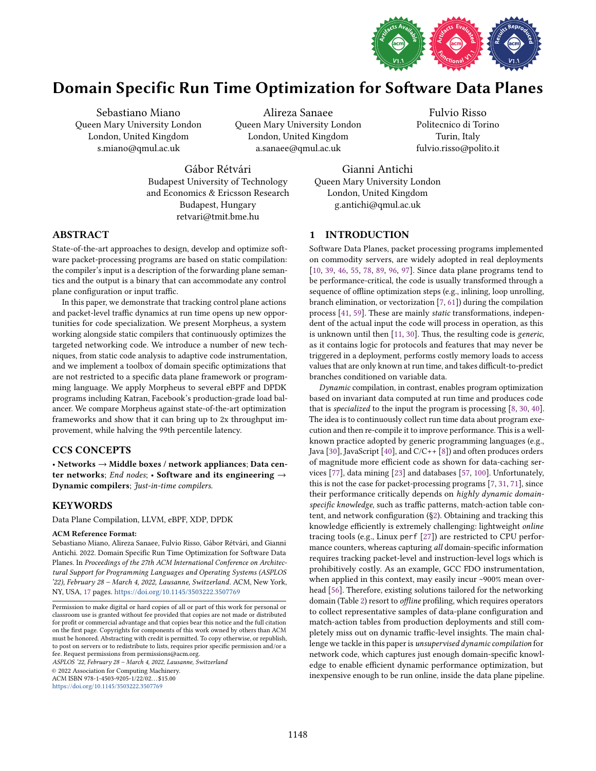

# Domain Specific Run Time Optimization for Software Data Planes

Sebastiano Miano Queen Mary University London London, United Kingdom s.miano@qmul.ac.uk

Alireza Sanaee Queen Mary University London London, United Kingdom a.sanaee@qmul.ac.uk

Fulvio Risso Politecnico di Torino Turin, Italy fulvio.risso@polito.it

Gábor Rétvári Budapest University of Technology and Economics & Ericsson Research Budapest, Hungary retvari@tmit.bme.hu

Gianni Antichi Queen Mary University London London, United Kingdom g.antichi@qmul.ac.uk

# ABSTRACT

State-of-the-art approaches to design, develop and optimize software packet-processing programs are based on static compilation: the compiler's input is a description of the forwarding plane semantics and the output is a binary that can accommodate any control plane configuration or input traffic.

In this paper, we demonstrate that tracking control plane actions and packet-level traffic dynamics at run time opens up new opportunities for code specialization. We present Morpheus, a system working alongside static compilers that continuously optimizes the targeted networking code. We introduce a number of new techniques, from static code analysis to adaptive code instrumentation, and we implement a toolbox of domain specific optimizations that are not restricted to a specific data plane framework or programming language. We apply Morpheus to several eBPF and DPDK programs including Katran, Facebook's production-grade load balancer. We compare Morpheus against state-of-the-art optimization frameworks and show that it can bring up to 2x throughput improvement, while halving the 99th percentile latency.

# CCS CONCEPTS

· Networks → Middle boxes / network appliances; Data center networks; End nodes;  $\cdot$  Software and its engineering  $\rightarrow$ Dynamic compilers; Just-in-time compilers.

# **KEYWORDS**

Data Plane Compilation, LLVM, eBPF, XDP, DPDK

## ACM Reference Format:

Sebastiano Miano, Alireza Sanaee, Fulvio Risso, Gábor Rétvári, and Gianni Antichi. 2022. Domain Specific Run Time Optimization for Software Data Planes. In Proceedings of the 27th ACM International Conference on Architectural Support for Programming Languages and Operating Systems (ASPLOS '22), February 28 - March 4, 2022, Lausanne, Switzerland. ACM, New York, NY, USA, [17](#page-16-0) pages. <https://doi.org/10.1145/3503222.3507769>

ASPLOS '22, February 28 - March 4, 2022, Lausanne, Switzerland

© 2022 Association for Computing Machinery. ACM ISBN 978-1-4503-9205-1/22/02. . . \$15.00

<https://doi.org/10.1145/3503222.3507769>

# 1 INTRODUCTION

Software Data Planes, packet processing programs implemented on commodity servers, are widely adopted in real deployments [\[10,](#page-14-0) [39,](#page-14-1) [46,](#page-15-0) [55,](#page-15-1) [78,](#page-15-2) [89,](#page-16-1) [96,](#page-16-2) [97\]](#page-16-3). Since data plane programs tend to be performance-critical, the code is usually transformed through a sequence of offline optimization steps (e.g., inlining, loop unrolling, branch elimination, or vectorization [\[7,](#page-14-2) [61\]](#page-15-3)) during the compilation process [\[41,](#page-14-3) [59\]](#page-15-4). These are mainly static transformations, independent of the actual input the code will process in operation, as this is unknown until then [\[11,](#page-14-4) [30\]](#page-14-5). Thus, the resulting code is generic, as it contains logic for protocols and features that may never be triggered in a deployment, performs costly memory loads to access values that are only known at run time, and takes difficult-to-predict branches conditioned on variable data.

Dynamic compilation, in contrast, enables program optimization based on invariant data computed at run time and produces code that is specialized to the input the program is processing [\[8,](#page-14-6) [30,](#page-14-5) [40\]](#page-14-7). The idea is to continuously collect run time data about program execution and then re-compile it to improve performance. This is a wellknown practice adopted by generic programming languages (e.g., Java [\[30\]](#page-14-5), JavaScript [\[40\]](#page-14-7), and  $C/C++$  [\[8\]](#page-14-6)) and often produces orders of magnitude more efficient code as shown for data-caching services [\[77\]](#page-15-5), data mining [\[23\]](#page-14-8) and databases [\[57,](#page-15-6) [100\]](#page-16-4). Unfortunately, this is not the case for packet-processing programs [\[7,](#page-14-2) [31,](#page-14-9) [71\]](#page-15-7), since their performance critically depends on highly dynamic domainspecific knowledge, such as traffic patterns, match-action table content, and network configuration ([ğ2\)](#page-1-0). Obtaining and tracking this knowledge efficiently is extremely challenging: lightweight online tracing tools (e.g., Linux perf [\[27\]](#page-14-10)) are restricted to CPU performance counters, whereas capturing all domain-specific information requires tracking packet-level and instruction-level logs which is prohibitively costly. As an example, GCC FDO instrumentation, when applied in this context, may easily incur ~900% mean overhead [\[56\]](#page-15-8). Therefore, existing solutions tailored for the networking domain (Table [2\)](#page-4-0) resort to offline profiling, which requires operators to collect representative samples of data-plane configuration and match-action tables from production deployments and still completely miss out on dynamic traffic-level insights. The main challenge we tackle in this paper is unsupervised dynamic compilation for network code, which captures just enough domain-specific knowledge to enable efficient dynamic performance optimization, but inexpensive enough to be run online, inside the data plane pipeline.

Permission to make digital or hard copies of all or part of this work for personal or classroom use is granted without fee provided that copies are not made or distributed for profit or commercial advantage and that copies bear this notice and the full citation on the first page. Copyrights for components of this work owned by others than ACM must be honored. Abstracting with credit is permitted. To copy otherwise, or republish, to post on servers or to redistribute to lists, requires prior specific permission and/or a fee. Request permissions from permissions@acm.org.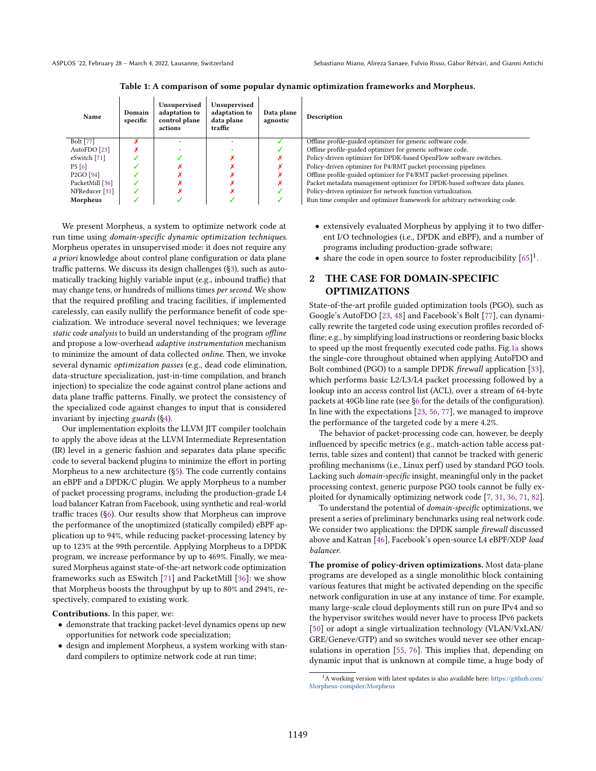Table 1: A comparison of some popular dynamic optimization frameworks and Morpheus.

<span id="page-1-1"></span>

| Name                              | Domain<br>specific | Unsupervised<br>adaptation to<br>control plane<br>actions | Unsupervised<br>adaptation to<br>data plane<br>traffic | Data plane<br>agnostic | Description                                                               |
|-----------------------------------|--------------------|-----------------------------------------------------------|--------------------------------------------------------|------------------------|---------------------------------------------------------------------------|
| Bolt [77]                         |                    |                                                           |                                                        |                        | Offline profile-guided optimizer for generic software code.               |
| AutoFDO [23]                      |                    |                                                           |                                                        |                        | Offline profile-guided optimizer for generic software code.               |
| eSwitch [71]                      |                    |                                                           |                                                        |                        | Policy-driven optimizer for DPDK-based OpenFlow software switches.        |
| P5[6]                             |                    |                                                           |                                                        |                        | Policy-driven optimizer for P4/RMT packet-processing pipelines.           |
| P <sub>2</sub> GO <sup>[94]</sup> |                    |                                                           |                                                        |                        | Offline profile-guided optimizer for P4/RMT packet-processing pipelines.  |
| PacketMill [36]                   |                    |                                                           |                                                        |                        | Packet metadata management optimizer for DPDK-based software data planes. |
| NFReducer <sup>[31]</sup>         |                    |                                                           |                                                        |                        | Policy-driven optimizer for network function virtualization.              |
| Morpheus                          |                    |                                                           |                                                        |                        | Run time compiler and optimizer framework for arbitrary networking code.  |

We present Morpheus, a system to optimize network code at run time using domain-specific dynamic optimization techniques. Morpheus operates in unsupervised mode: it does not require any a priori knowledge about control plane configuration or data plane traffic patterns. We discuss its design challenges ([ğ3\)](#page-2-0), such as automatically tracking highly variable input (e.g., inbound traffic) that may change tens, or hundreds of millions times per second. We show that the required profiling and tracing facilities, if implemented carelessly, can easily nullify the performance benefit of code specialization. We introduce several novel techniques; we leverage static code analysis to build an understanding of the program offline and propose a low-overhead adaptive instrumentation mechanism to minimize the amount of data collected online. Then, we invoke several dynamic optimization passes (e.g., dead code elimination, data-structure specialization, just-in-time compilation, and branch injection) to specialize the code against control plane actions and data plane traffic patterns. Finally, we protect the consistency of the specialized code against changes to input that is considered invariant by injecting guards ([ğ4\)](#page-3-0).

Our implementation exploits the LLVM JIT compiler toolchain to apply the above ideas at the LLVM Intermediate Representation (IR) level in a generic fashion and separates data plane specific code to several backend plugins to minimize the effort in porting Morpheus to a new architecture ([ğ5\)](#page-6-0). The code currently contains an eBPF and a DPDK/C plugin. We apply Morpheus to a number of packet processing programs, including the production-grade L4 load balancer Katran from Facebook, using synthetic and real-world traffic traces ([ğ6\)](#page-7-0). Our results show that Morpheus can improve the performance of the unoptimized (statically compiled) eBPF application up to 94%, while reducing packet-processing latency by up to 123% at the 99th percentile. Applying Morpheus to a DPDK program, we increase performance by up to 469%. Finally, we measured Morpheus against state-of-the-art network code optimization frameworks such as ESwitch [\[71\]](#page-15-7) and PacketMill [\[36\]](#page-14-12): we show that Morpheus boosts the throughput by up to 80% and 294%, respectively, compared to existing work.

Contributions. In this paper, we:

- demonstrate that tracking packet-level dynamics opens up new opportunities for network code specialization;
- design and implement Morpheus, a system working with standard compilers to optimize network code at run time;
- extensively evaluated Morpheus by applying it to two different I/O technologies (i.e., DPDK and eBPF), and a number of programs including production-grade software;
- share the code in open source to foster reproducibility  $[65]$ <sup>1</sup>.

# <span id="page-1-0"></span>2 THE CASE FOR DOMAIN-SPECIFIC OPTIMIZATIONS

State-of-the-art profile guided optimization tools (PGO), such as Google's AutoFDO [\[23,](#page-14-8) [48\]](#page-15-10) and Facebook's Bolt [\[77\]](#page-15-5), can dynamically rewrite the targeted code using execution profiles recorded offline; e.g., by simplifying load instructions or reordering basic blocks to speed up the most frequently executed code paths. Fig[.1a](#page-2-1) shows the single-core throughout obtained when applying AutoFDO and Bolt combined (PGO) to a sample DPDK firewall application [\[33\]](#page-14-13), which performs basic L2/L3/L4 packet processing followed by a lookup into an access control list (ACL), over a stream of 64-byte packets at 40Gb line rate (see [ğ6](#page-7-0) for the details of the configuration). In line with the expectations [\[23,](#page-14-8) [56,](#page-15-8) [77\]](#page-15-5), we managed to improve the performance of the targeted code by a mere 4.2%.

The behavior of packet-processing code can, however, be deeply influenced by specific metrics (e.g., match-action table access patterns, table sizes and content) that cannot be tracked with generic profiling mechanisms (i.e., Linux perf) used by standard PGO tools. Lacking such domain-specific insight, meaningful only in the packet processing context, generic purpose PGO tools cannot be fully exploited for dynamically optimizing network code [\[7,](#page-14-2) [31,](#page-14-9) [36,](#page-14-12) [71,](#page-15-7) [82\]](#page-16-6).

To understand the potential of domain-specific optimizations, we present a series of preliminary benchmarks using real network code. We consider two applications: the DPDK sample firewall discussed above and Katran [\[46\]](#page-15-0), Facebook's open-source L4 eBPF/XDP load balancer.

The promise of policy-driven optimizations. Most data-plane programs are developed as a single monolithic block containing various features that might be activated depending on the specific network configuration in use at any instance of time. For example, many large-scale cloud deployments still run on pure IPv4 and so the hypervisor switches would never have to process IPv6 packets [\[50\]](#page-15-11) or adopt a single virtualization technology (VLAN/VxLAN/ GRE/Geneve/GTP) and so switches would never see other encapsulations in operation [\[55,](#page-15-1) [76\]](#page-15-12). This implies that, depending on dynamic input that is unknown at compile time, a huge body of

<sup>&</sup>lt;sup>1</sup>A working version with latest updates is also available here: [https://github.com/](https://github.com/Morpheus-compiler/Morpheus) [Morpheus-compiler/Morpheus](https://github.com/Morpheus-compiler/Morpheus)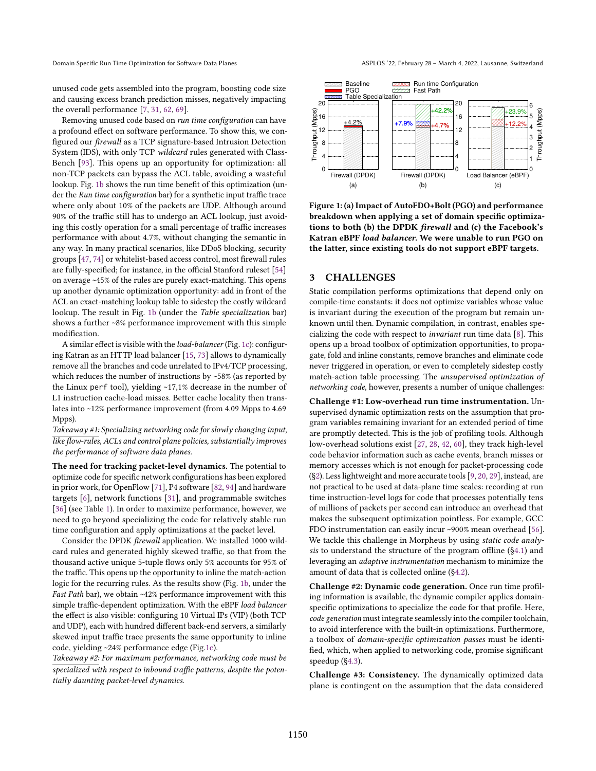unused code gets assembled into the program, boosting code size and causing excess branch prediction misses, negatively impacting the overall performance [\[7,](#page-14-2) [31,](#page-14-9) [62,](#page-15-13) [69\]](#page-15-14).

Removing unused code based on run time configuration can have a profound effect on software performance. To show this, we configured our firewall as a TCP signature-based Intrusion Detection System (IDS), with only TCP wildcard rules generated with Class-Bench [\[93\]](#page-16-7). This opens up an opportunity for optimization: all non-TCP packets can bypass the ACL table, avoiding a wasteful lookup. Fig. [1b](#page-2-1) shows the run time benefit of this optimization (under the Run time configuration bar) for a synthetic input traffic trace where only about 10% of the packets are UDP. Although around 90% of the traffic still has to undergo an ACL lookup, just avoiding this costly operation for a small percentage of traffic increases performance with about 4.7%, without changing the semantic in any way. In many practical scenarios, like DDoS blocking, security groups [\[47,](#page-15-15) [74\]](#page-15-16) or whitelist-based access control, most firewall rules are fully-specified; for instance, in the official Stanford ruleset [\[54\]](#page-15-17) on average ~45% of the rules are purely exact-matching. This opens up another dynamic optimization opportunity: add in front of the ACL an exact-matching lookup table to sidestep the costly wildcard lookup. The result in Fig. [1b](#page-2-1) (under the Table specialization bar) shows a further ~8% performance improvement with this simple modification.

A similar effect is visible with the load-balancer (Fig. [1c\)](#page-2-1): configuring Katran as an HTTP load balancer [\[15,](#page-14-14) [73\]](#page-15-18) allows to dynamically remove all the branches and code unrelated to IPv4/TCP processing, which reduces the number of instructions by  $~58\%$  (as reported by the Linux perf tool), yielding ~17,1% decrease in the number of L1 instruction cache-load misses. Better cache locality then translates into ~12% performance improvement (from 4.09 Mpps to 4.69 Mpps).

Takeaway #1: Specializing networking code for slowly changing input, like flow-rules, ACLs and control plane policies, substantially improves the performance of software data planes.

The need for tracking packet-level dynamics. The potential to optimize code for specific network configurations has been explored in prior work, for OpenFlow [\[71\]](#page-15-7), P4 software [\[82,](#page-16-6) [94\]](#page-16-5) and hardware targets [\[6\]](#page-14-11), network functions [\[31\]](#page-14-9), and programmable switches [\[36\]](#page-14-12) (see Table [1\)](#page-1-1). In order to maximize performance, however, we need to go beyond specializing the code for relatively stable run time configuration and apply optimizations at the packet level.

Consider the DPDK firewall application. We installed 1000 wildcard rules and generated highly skewed traffic, so that from the thousand active unique 5-tuple flows only 5% accounts for 95% of the traffic. This opens up the opportunity to inline the match-action logic for the recurring rules. As the results show (Fig. [1b,](#page-2-1) under the Fast Path bar), we obtain ~42% performance improvement with this simple traffic-dependent optimization. With the eBPF load balancer the effect is also visible: configuring 10 Virtual IPs (VIP) (both TCP and UDP), each with hundred different back-end servers, a similarly skewed input traffic trace presents the same opportunity to inline code, yielding ~24% performance edge (Fig[.1c\)](#page-2-1).

Takeaway #2: For maximum performance, networking code must be specialized with respect to inbound traffic patterns, despite the potentially daunting packet-level dynamics.

Domain Specific Run Time Optimization for Software Data Planes ASPLOS '22, February 28 - March 4, 2022, Lausanne, Switzerland

<span id="page-2-1"></span>

Figure 1: (a) Impact of AutoFDO+Bolt (PGO) and performance breakdown when applying a set of domain specific optimizations to both (b) the DPDK firewall and (c) the Facebook's Katran eBPF load balancer. We were unable to run PGO on the latter, since existing tools do not support eBPF targets.

## <span id="page-2-0"></span>3 CHALLENGES

Static compilation performs optimizations that depend only on compile-time constants: it does not optimize variables whose value is invariant during the execution of the program but remain unknown until then. Dynamic compilation, in contrast, enables specializing the code with respect to invariant run time data [\[8\]](#page-14-6). This opens up a broad toolbox of optimization opportunities, to propagate, fold and inline constants, remove branches and eliminate code never triggered in operation, or even to completely sidestep costly match-action table processing. The unsupervised optimization of networking code, however, presents a number of unique challenges:

Challenge #1: Low-overhead run time instrumentation. Unsupervised dynamic optimization rests on the assumption that program variables remaining invariant for an extended period of time are promptly detected. This is the job of profiling tools. Although low-overhead solutions exist [\[27,](#page-14-10) [28,](#page-14-15) [42,](#page-15-19) [60\]](#page-15-20), they track high-level code behavior information such as cache events, branch misses or memory accesses which is not enough for packet-processing code ([ğ2\)](#page-1-0). Less lightweight and more accurate tools [\[9,](#page-14-16) [20,](#page-14-17) [29\]](#page-14-18), instead, are not practical to be used at data-plane time scales: recording at run time instruction-level logs for code that processes potentially tens of millions of packets per second can introduce an overhead that makes the subsequent optimization pointless. For example, GCC FDO instrumentation can easily incur ~900% mean overhead [\[56\]](#page-15-8). We tackle this challenge in Morpheus by using static code analysis to understand the structure of the program offline ([ğ4.1\)](#page-3-1) and leveraging an adaptive instrumentation mechanism to minimize the amount of data that is collected online ([ğ4.2\)](#page-4-1).

Challenge #2: Dynamic code generation. Once run time profiling information is available, the dynamic compiler applies domainspecific optimizations to specialize the code for that profile. Here, code generation must integrate seamlessly into the compiler toolchain, to avoid interference with the built-in optimizations. Furthermore, a toolbox of domain-specific optimization passes must be identified, which, when applied to networking code, promise significant speedup ([ğ4.3\)](#page-4-2).

Challenge #3: Consistency. The dynamically optimized data plane is contingent on the assumption that the data considered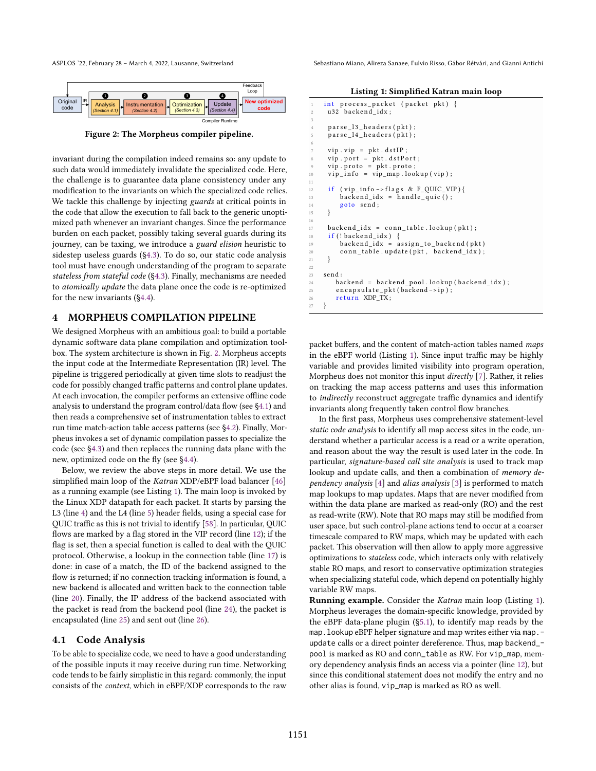<span id="page-3-2"></span>

Figure 2: The Morpheus compiler pipeline.

invariant during the compilation indeed remains so: any update to such data would immediately invalidate the specialized code. Here, the challenge is to guarantee data plane consistency under any modification to the invariants on which the specialized code relies. We tackle this challenge by injecting guards at critical points in the code that allow the execution to fall back to the generic unoptimized path whenever an invariant changes. Since the performance burden on each packet, possibly taking several guards during its journey, can be taxing, we introduce a guard elision heuristic to sidestep useless guards ([ğ4.3\)](#page-4-2). To do so, our static code analysis tool must have enough understanding of the program to separate stateless from stateful code ([ğ4.3\)](#page-4-2). Finally, mechanisms are needed to atomically update the data plane once the code is re-optimized for the new invariants ([ğ4.4\)](#page-6-1).

## <span id="page-3-0"></span>4 MORPHEUS COMPILATION PIPELINE

We designed Morpheus with an ambitious goal: to build a portable dynamic software data plane compilation and optimization toolbox. The system architecture is shown in Fig. [2.](#page-3-2) Morpheus accepts the input code at the Intermediate Representation (IR) level. The pipeline is triggered periodically at given time slots to readjust the code for possibly changed traffic patterns and control plane updates. At each invocation, the compiler performs an extensive offline code analysis to understand the program control/data flow (see [ğ4.1\)](#page-3-1) and then reads a comprehensive set of instrumentation tables to extract run time match-action table access patterns (see [ğ4.2\)](#page-4-1). Finally, Morpheus invokes a set of dynamic compilation passes to specialize the code (see [ğ4.3\)](#page-4-2) and then replaces the running data plane with the new, optimized code on the fly (see [ğ4.4\)](#page-6-1).

Below, we review the above steps in more detail. We use the simplified main loop of the Katran XDP/eBPF load balancer [\[46\]](#page-15-0) as a running example (see Listing [1\)](#page-3-3). The main loop is invoked by the Linux XDP datapath for each packet. It starts by parsing the L3 (line [4\)](#page-3-4) and the L4 (line [5\)](#page-3-5) header fields, using a special case for QUIC traffic as this is not trivial to identify [\[58\]](#page-15-21). In particular, QUIC flows are marked by a flag stored in the VIP record (line [12\)](#page-3-6); if the flag is set, then a special function is called to deal with the QUIC protocol. Otherwise, a lookup in the connection table (line [17\)](#page-3-7) is done: in case of a match, the ID of the backend assigned to the flow is returned; if no connection tracking information is found, a new backend is allocated and written back to the connection table (line [20\)](#page-3-8). Finally, the IP address of the backend associated with the packet is read from the backend pool (line [24\)](#page-3-9), the packet is encapsulated (line [25\)](#page-3-10) and sent out (line [26\)](#page-3-11).

## <span id="page-3-1"></span>4.1 Code Analysis

To be able to specialize code, we need to have a good understanding of the possible inputs it may receive during run time. Networking code tends to be fairly simplistic in this regard: commonly, the input consists of the context, which in eBPF/XDP corresponds to the raw

ASPLOS '22, February 28 - March 4, 2022, Lausanne, Switzerland Switzerland Sebastiano Miano, Alireza Sanaee, Fulvio Risso, Gábor Rétvári, and Gianni Antichi

Listing 1: Simplified Katran main loop

<span id="page-3-12"></span><span id="page-3-6"></span>11

<span id="page-3-7"></span>15 } 16

<span id="page-3-9"></span><span id="page-3-8"></span> $21$ 22 23<br>24

<span id="page-3-11"></span><span id="page-3-10"></span>27 }

<span id="page-3-5"></span><span id="page-3-4"></span><span id="page-3-3"></span>

| 1               | int process_packet (packet pkt) {<br>u32 backend idx; |
|-----------------|-------------------------------------------------------|
| 2               |                                                       |
| 3               |                                                       |
| $\overline{4}$  | parse 13 headers (pkt);                               |
| 5               | parse 14 headers (pkt);                               |
| 6               |                                                       |
| $7\phantom{.0}$ | $vip. vip = pkt. dstIP;$                              |
| 8               | $vip. port = pkt. dstPort;$                           |
| 9               | $vip. proto = pkt. proto;$                            |
| 10              | $vip_info = vip_map.logkup(vip);$                     |
| 11              |                                                       |
| 12              | if (vip info->flags & F QUIC VIP){                    |
| 13              | $\texttt{backend}_idx = \texttt{handle}_quic()$ ;     |
| 14              | goto send;                                            |
| 15              | ł                                                     |
| 16              |                                                       |
| 17              | backend $idx = conn$ table.lookup( $pkt$ );           |
| 18              | $if (!backward_idx)$ {                                |
| 19              | backend $idx = assign to background (pkt)$            |
| 20              | conn_table.update(pkt, backend_idx);                  |
| 21              | ł                                                     |
| 22              |                                                       |
| 23              | send:                                                 |
| 24              | backend = backend_pool.lookup(backend_idx);           |
| 25              | encapsulate $pkt$ (backend $\rightarrow$ ip);         |
| 26              | return XDP TX;                                        |
| 27              | ł                                                     |
|                 |                                                       |

packet buffers, and the content of match-action tables named maps in the eBPF world (Listing [1\)](#page-3-3). Since input traffic may be highly variable and provides limited visibility into program operation, Morpheus does not monitor this input directly [\[7\]](#page-14-2). Rather, it relies on tracking the map access patterns and uses this information to indirectly reconstruct aggregate traffic dynamics and identify invariants along frequently taken control flow branches.

In the first pass, Morpheus uses comprehensive statement-level static code analysis to identify all map access sites in the code, understand whether a particular access is a read or a write operation, and reason about the way the result is used later in the code. In particular, signature-based call site analysis is used to track map lookup and update calls, and then a combination of memory dependency analysis [\[4\]](#page-14-19) and alias analysis [\[3\]](#page-14-20) is performed to match map lookups to map updates. Maps that are never modified from within the data plane are marked as read-only (RO) and the rest as read-write (RW). Note that RO maps may still be modified from user space, but such control-plane actions tend to occur at a coarser timescale compared to RW maps, which may be updated with each packet. This observation will then allow to apply more aggressive optimizations to stateless code, which interacts only with relatively stable RO maps, and resort to conservative optimization strategies when specializing stateful code, which depend on potentially highly variable RW maps.

**Running example.** Consider the Katran main loop (Listing [1\)](#page-3-3). Morpheus leverages the domain-specific knowledge, provided by the eBPF data-plane plugin ([ğ5.1\)](#page-6-2), to identify map reads by the map. lookup eBPF helper signature and map writes either via map. update calls or a direct pointer dereference. Thus, map backend\_ pool is marked as RO and conn\_table as RW. For vip\_map, memory dependency analysis finds an access via a pointer (line [12\)](#page-3-6), but since this conditional statement does not modify the entry and no other alias is found, vip\_map is marked as RO as well.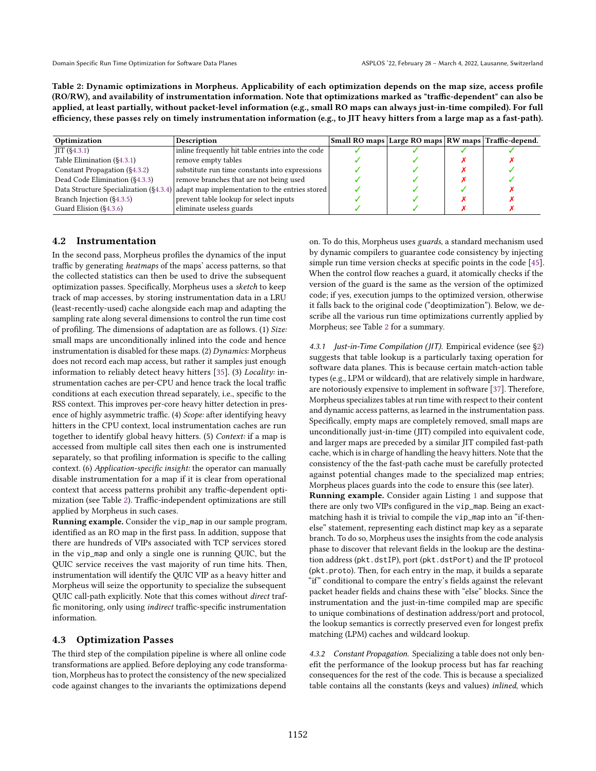<span id="page-4-0"></span>Table 2: Dynamic optimizations in Morpheus. Applicability of each optimization depends on the map size, access profile (RO/RW), and availability of instrumentation information. Note that optimizations marked as "traffic-dependent" can also be applied, at least partially, without packet-level information (e.g., small RO maps can always just-in-time compiled). For full efficiency, these passes rely on timely instrumentation information (e.g., to JIT heavy hitters from a large map as a fast-path).

| Optimization                     | <b>Description</b>                                                                    | Small RO maps   Large RO maps   RW maps   Traffic-depend. |  |  |
|----------------------------------|---------------------------------------------------------------------------------------|-----------------------------------------------------------|--|--|
| JIT(§4.3.1)                      | inline frequently hit table entries into the code                                     |                                                           |  |  |
| Table Elimination (§4.3.1)       | remove empty tables                                                                   |                                                           |  |  |
| Constant Propagation $(\S4.3.2)$ | substitute run time constants into expressions                                        |                                                           |  |  |
| Dead Code Elimination (§4.3.3)   | remove branches that are not being used                                               |                                                           |  |  |
|                                  | Data Structure Specialization (§4.3.4) adapt map implementation to the entries stored |                                                           |  |  |
| Branch Injection (§4.3.5)        | prevent table lookup for select inputs                                                |                                                           |  |  |
| Guard Elision (§4.3.6)           | eliminate useless guards                                                              |                                                           |  |  |

## <span id="page-4-1"></span>4.2 Instrumentation

In the second pass, Morpheus profiles the dynamics of the input traffic by generating heatmaps of the maps' access patterns, so that the collected statistics can then be used to drive the subsequent optimization passes. Specifically, Morpheus uses a sketch to keep track of map accesses, by storing instrumentation data in a LRU (least-recently-used) cache alongside each map and adapting the sampling rate along several dimensions to control the run time cost of profiling. The dimensions of adaptation are as follows. (1) Size: small maps are unconditionally inlined into the code and hence instrumentation is disabled for these maps. (2)  $Dy$ *namics:* Morpheus does not record each map access, but rather it samples just enough information to reliably detect heavy hitters [\[35\]](#page-14-21). (3) Locality: instrumentation caches are per-CPU and hence track the local traffic conditions at each execution thread separately, i.e., specific to the RSS context. This improves per-core heavy hitter detection in presence of highly asymmetric traffic. (4) Scope: after identifying heavy hitters in the CPU context, local instrumentation caches are run together to identify global heavy hitters. (5) Context: if a map is accessed from multiple call sites then each one is instrumented separately, so that profiling information is specific to the calling context. (6) Application-specific insight: the operator can manually disable instrumentation for a map if it is clear from operational context that access patterns prohibit any traffic-dependent optimization (see Table [2\)](#page-4-0). Traffic-independent optimizations are still applied by Morpheus in such cases.

Running example. Consider the vip\_map in our sample program, identified as an RO map in the first pass. In addition, suppose that there are hundreds of VIPs associated with TCP services stored in the vip\_map and only a single one is running QUIC, but the QUIC service receives the vast majority of run time hits. Then, instrumentation will identify the QUIC VIP as a heavy hitter and Morpheus will seize the opportunity to specialize the subsequent QUIC call-path explicitly. Note that this comes without direct traffic monitoring, only using indirect traffic-specific instrumentation information.

## <span id="page-4-2"></span>4.3 Optimization Passes

The third step of the compilation pipeline is where all online code transformations are applied. Before deploying any code transformation, Morpheus has to protect the consistency of the new specialized code against changes to the invariants the optimizations depend

on. To do this, Morpheus uses guards, a standard mechanism used by dynamic compilers to guarantee code consistency by injecting simple run time version checks at specific points in the code [\[45\]](#page-15-22). When the control flow reaches a guard, it atomically checks if the version of the guard is the same as the version of the optimized code; if yes, execution jumps to the optimized version, otherwise it falls back to the original code ("deoptimization"). Below, we describe all the various run time optimizations currently applied by Morpheus; see Table [2](#page-4-0) for a summary.

<span id="page-4-3"></span>4.3.1 Just-in-Time Compilation (JIT). Empirical evidence (see [ğ2\)](#page-1-0) suggests that table lookup is a particularly taxing operation for software data planes. This is because certain match-action table types (e.g., LPM or wildcard), that are relatively simple in hardware, are notoriously expensive to implement in software [\[37\]](#page-14-22). Therefore, Morpheus specializes tables at run time with respect to their content and dynamic access patterns, as learned in the instrumentation pass. Specifically, empty maps are completely removed, small maps are unconditionally just-in-time (JIT) compiled into equivalent code, and larger maps are preceded by a similar JIT compiled fast-path cache, which is in charge of handling the heavy hitters. Note that the consistency of the the fast-path cache must be carefully protected against potential changes made to the specialized map entries; Morpheus places guards into the code to ensure this (see later).

Running example. Consider again Listing [1](#page-3-3) and suppose that there are only two VIPs configured in the vip\_map. Being an exactmatching hash it is trivial to compile the vip\_map into an "if-thenelse" statement, representing each distinct map key as a separate branch. To do so, Morpheus uses the insights from the code analysis phase to discover that relevant fields in the lookup are the destination address (pkt.dstIP), port (pkt.dstPort) and the IP protocol (pkt.proto). Then, for each entry in the map, it builds a separate "if" conditional to compare the entry's fields against the relevant packet header fields and chains these with "else" blocks. Since the instrumentation and the just-in-time compiled map are specific to unique combinations of destination address/port and protocol, the lookup semantics is correctly preserved even for longest prefix matching (LPM) caches and wildcard lookup.

<span id="page-4-4"></span>4.3.2 Constant Propagation. Specializing a table does not only benefit the performance of the lookup process but has far reaching consequences for the rest of the code. This is because a specialized table contains all the constants (keys and values) inlined, which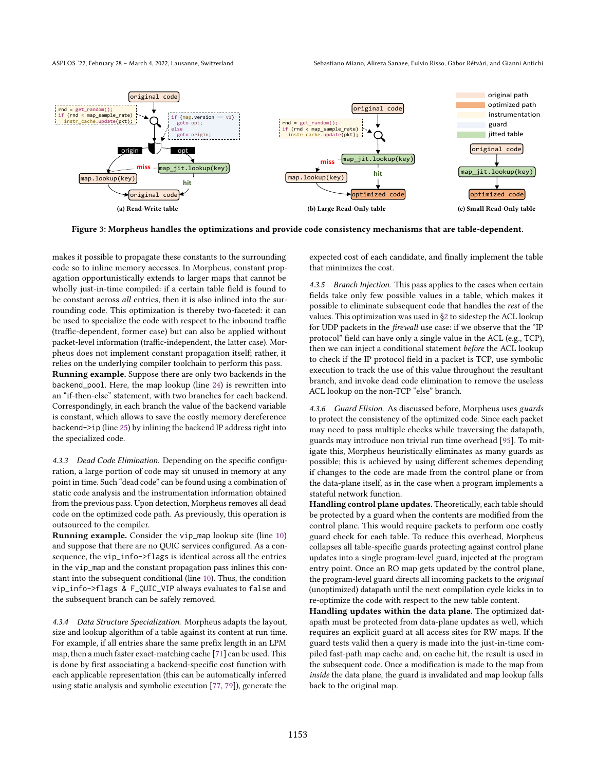<span id="page-5-5"></span><span id="page-5-4"></span>

Figure 3: Morpheus handles the optimizations and provide code consistency mechanisms that are table-dependent.

makes it possible to propagate these constants to the surrounding code so to inline memory accesses. In Morpheus, constant propagation opportunistically extends to larger maps that cannot be wholly just-in-time compiled: if a certain table field is found to be constant across all entries, then it is also inlined into the surrounding code. This optimization is thereby two-faceted: it can be used to specialize the code with respect to the inbound traffic (traffic-dependent, former case) but can also be applied without packet-level information (traffic-independent, the latter case). Morpheus does not implement constant propagation itself; rather, it relies on the underlying compiler toolchain to perform this pass. Running example. Suppose there are only two backends in the backend\_pool. Here, the map lookup (line [24\)](#page-3-9) is rewritten into an "if-then-else" statement, with two branches for each backend. Correspondingly, in each branch the value of the backend variable is constant, which allows to save the costly memory dereference backend->ip (line [25\)](#page-3-10) by inlining the backend IP address right into the specialized code.

<span id="page-5-0"></span>4.3.3 Dead Code Elimination. Depending on the specific configuration, a large portion of code may sit unused in memory at any point in time. Such "dead code" can be found using a combination of static code analysis and the instrumentation information obtained from the previous pass. Upon detection, Morpheus removes all dead code on the optimized code path. As previously, this operation is outsourced to the compiler.

Running example. Consider the vip\_map lookup site (line [10\)](#page-3-12) and suppose that there are no QUIC services configured. As a consequence, the vip\_info->flags is identical across all the entries in the vip\_map and the constant propagation pass inlines this constant into the subsequent conditional (line [10\)](#page-3-12). Thus, the condition vip\_info->flags & F\_QUIC\_VIP always evaluates to false and the subsequent branch can be safely removed.

<span id="page-5-1"></span>4.3.4 Data Structure Specialization. Morpheus adapts the layout, size and lookup algorithm of a table against its content at run time. For example, if all entries share the same prefix length in an LPM map, then a much faster exact-matching cache [\[71\]](#page-15-7) can be used. This is done by first associating a backend-specific cost function with each applicable representation (this can be automatically inferred using static analysis and symbolic execution [\[77,](#page-15-5) [79\]](#page-15-23)), generate the

<span id="page-5-7"></span><span id="page-5-6"></span>expected cost of each candidate, and finally implement the table that minimizes the cost.

<span id="page-5-2"></span>4.3.5 Branch Injection. This pass applies to the cases when certain fields take only few possible values in a table, which makes it possible to eliminate subsequent code that handles the rest of the values. This optimization was used in [ğ2](#page-1-0) to sidestep the ACL lookup for UDP packets in the *firewall* use case: if we observe that the "IP protocol" field can have only a single value in the ACL (e.g., TCP), then we can inject a conditional statement before the ACL lookup to check if the IP protocol field in a packet is TCP, use symbolic execution to track the use of this value throughout the resultant branch, and invoke dead code elimination to remove the useless ACL lookup on the non-TCP "else" branch.

<span id="page-5-3"></span>4.3.6 Guard Elision. As discussed before, Morpheus uses guards to protect the consistency of the optimized code. Since each packet may need to pass multiple checks while traversing the datapath, guards may introduce non trivial run time overhead [\[95\]](#page-16-8). To mitigate this, Morpheus heuristically eliminates as many guards as possible; this is achieved by using different schemes depending if changes to the code are made from the control plane or from the data-plane itself, as in the case when a program implements a stateful network function.

Handling control plane updates. Theoretically, each table should be protected by a guard when the contents are modified from the control plane. This would require packets to perform one costly guard check for each table. To reduce this overhead, Morpheus collapses all table-specific guards protecting against control plane updates into a single program-level guard, injected at the program entry point. Once an RO map gets updated by the control plane, the program-level guard directs all incoming packets to the original (unoptimized) datapath until the next compilation cycle kicks in to re-optimize the code with respect to the new table content.

Handling updates within the data plane. The optimized datapath must be protected from data-plane updates as well, which requires an explicit guard at all access sites for RW maps. If the guard tests valid then a query is made into the just-in-time compiled fast-path map cache and, on cache hit, the result is used in the subsequent code. Once a modification is made to the map from inside the data plane, the guard is invalidated and map lookup falls back to the original map.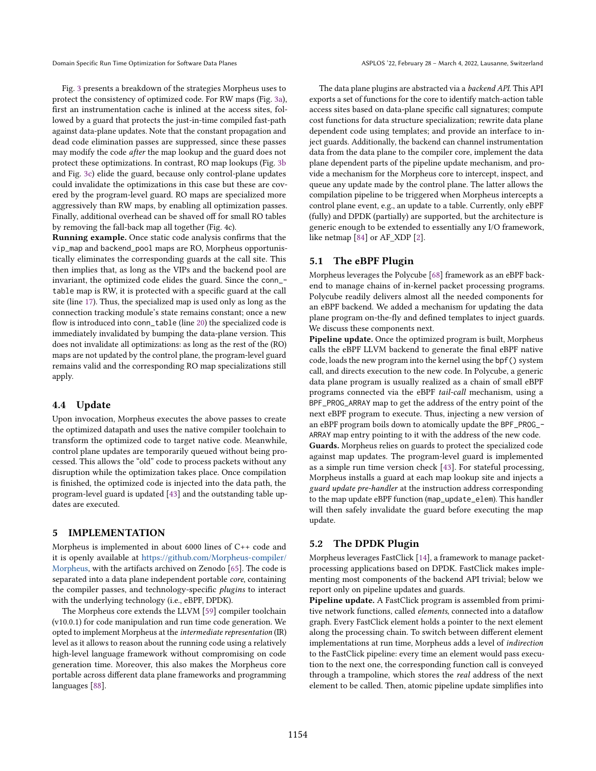Domain Specific Run Time Optimization for Software Data Planes ASPLOS '22, February 28 - March 4, 2022, Lausanne, Switzerland

Fig. [3](#page-5-4) presents a breakdown of the strategies Morpheus uses to protect the consistency of optimized code. For RW maps (Fig. [3a\)](#page-5-5), first an instrumentation cache is inlined at the access sites, followed by a guard that protects the just-in-time compiled fast-path against data-plane updates. Note that the constant propagation and dead code elimination passes are suppressed, since these passes may modify the code after the map lookup and the guard does not protect these optimizations. In contrast, RO map lookups (Fig. [3b](#page-5-6) and Fig. [3c\)](#page-5-7) elide the guard, because only control-plane updates could invalidate the optimizations in this case but these are covered by the program-level guard. RO maps are specialized more aggressively than RW maps, by enabling all optimization passes. Finally, additional overhead can be shaved off for small RO tables by removing the fall-back map all together (Fig. 4c).

Running example. Once static code analysis confirms that the vip\_map and backend\_pool maps are RO, Morpheus opportunistically eliminates the corresponding guards at the call site. This then implies that, as long as the VIPs and the backend pool are invariant, the optimized code elides the guard. Since the conn\_ table map is RW, it is protected with a specific guard at the call site (line [17\)](#page-3-7). Thus, the specialized map is used only as long as the connection tracking module's state remains constant; once a new flow is introduced into conn\_table (line [20\)](#page-3-8) the specialized code is immediately invalidated by bumping the data-plane version. This does not invalidate all optimizations: as long as the rest of the (RO) maps are not updated by the control plane, the program-level guard remains valid and the corresponding RO map specializations still apply.

## <span id="page-6-1"></span>4.4 Update

Upon invocation, Morpheus executes the above passes to create the optimized datapath and uses the native compiler toolchain to transform the optimized code to target native code. Meanwhile, control plane updates are temporarily queued without being processed. This allows the "old" code to process packets without any disruption while the optimization takes place. Once compilation is finished, the optimized code is injected into the data path, the program-level guard is updated [\[43\]](#page-15-24) and the outstanding table updates are executed.

# <span id="page-6-0"></span>5 IMPLEMENTATION

Morpheus is implemented in about 6000 lines of C++ code and it is openly available at [https://github.com/Morpheus-compiler/](https://github.com/Morpheus-compiler/Morpheus) [Morpheus,](https://github.com/Morpheus-compiler/Morpheus) with the artifacts archived on Zenodo [\[65\]](#page-15-9). The code is separated into a data plane independent portable core, containing the compiler passes, and technology-specific plugins to interact with the underlying technology (i.e., eBPF, DPDK).

The Morpheus core extends the LLVM [\[59\]](#page-15-4) compiler toolchain (v10.0.1) for code manipulation and run time code generation. We opted to implement Morpheus at the intermediate representation (IR) level as it allows to reason about the running code using a relatively high-level language framework without compromising on code generation time. Moreover, this also makes the Morpheus core portable across different data plane frameworks and programming languages [\[88\]](#page-16-9).

The data plane plugins are abstracted via a backend API. This API exports a set of functions for the core to identify match-action table access sites based on data-plane specific call signatures; compute cost functions for data structure specialization; rewrite data plane dependent code using templates; and provide an interface to inject guards. Additionally, the backend can channel instrumentation data from the data plane to the compiler core, implement the data plane dependent parts of the pipeline update mechanism, and provide a mechanism for the Morpheus core to intercept, inspect, and queue any update made by the control plane. The latter allows the compilation pipeline to be triggered when Morpheus intercepts a control plane event, e.g., an update to a table. Currently, only eBPF (fully) and DPDK (partially) are supported, but the architecture is generic enough to be extended to essentially any I/O framework, like netmap [\[84\]](#page-16-10) or AF\_XDP [\[2\]](#page-14-23).

## <span id="page-6-2"></span>5.1 The eBPF Plugin

Morpheus leverages the Polycube [\[68\]](#page-15-25) framework as an eBPF backend to manage chains of in-kernel packet processing programs. Polycube readily delivers almost all the needed components for an eBPF backend. We added a mechanism for updating the data plane program on-the-fly and defined templates to inject guards. We discuss these components next.

Pipeline update. Once the optimized program is built, Morpheus calls the eBPF LLVM backend to generate the final eBPF native code, loads the new program into the kernel using the bpf() system call, and directs execution to the new code. In Polycube, a generic data plane program is usually realized as a chain of small eBPF programs connected via the eBPF tail-call mechanism, using a BPF\_PROG\_ARRAY map to get the address of the entry point of the next eBPF program to execute. Thus, injecting a new version of an eBPF program boils down to atomically update the BPF\_PROG\_- ARRAY map entry pointing to it with the address of the new code. Guards. Morpheus relies on guards to protect the specialized code against map updates. The program-level guard is implemented as a simple run time version check [\[43\]](#page-15-24). For stateful processing, Morpheus installs a guard at each map lookup site and injects a guard update pre-handler at the instruction address corresponding to the map update eBPF function (map\_update\_elem). This handler will then safely invalidate the guard before executing the map update.

# 5.2 The DPDK Plugin

Morpheus leverages FastClick [\[14\]](#page-14-24), a framework to manage packetprocessing applications based on DPDK. FastClick makes implementing most components of the backend API trivial; below we report only on pipeline updates and guards.

Pipeline update. A FastClick program is assembled from primitive network functions, called elements, connected into a dataflow graph. Every FastClick element holds a pointer to the next element along the processing chain. To switch between different element implementations at run time, Morpheus adds a level of indirection to the FastClick pipeline: every time an element would pass execution to the next one, the corresponding function call is conveyed through a trampoline, which stores the real address of the next element to be called. Then, atomic pipeline update simplifies into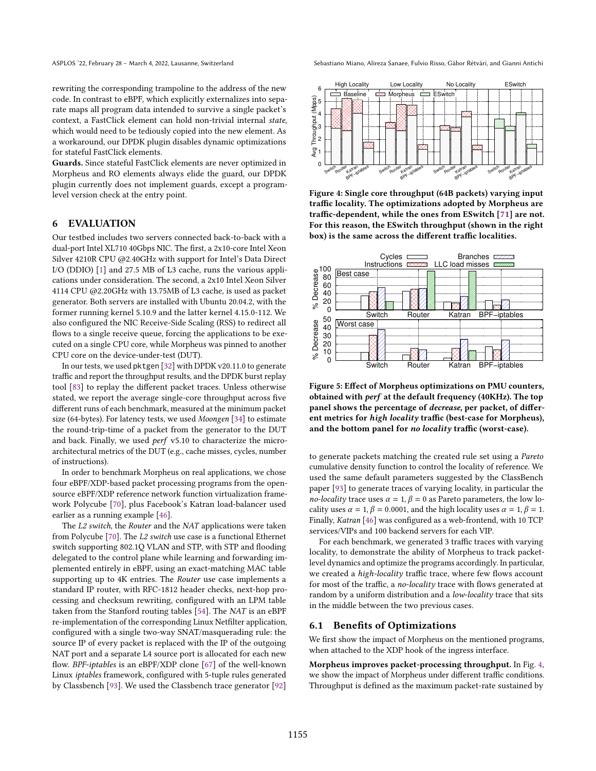rewriting the corresponding trampoline to the address of the new code. In contrast to eBPF, which explicitly externalizes into separate maps all program data intended to survive a single packet's context, a FastClick element can hold non-trivial internal state, which would need to be tediously copied into the new element. As a workaround, our DPDK plugin disables dynamic optimizations for stateful FastClick elements.

Guards. Since stateful FastClick elements are never optimized in Morpheus and RO elements always elide the guard, our DPDK plugin currently does not implement guards, except a programlevel version check at the entry point.

# <span id="page-7-0"></span>6 EVALUATION

Our testbed includes two servers connected back-to-back with a dual-port Intel XL710 40Gbps NIC. The first, a 2x10-core Intel Xeon Silver 4210R CPU @2.40GHz with support for Intel's Data Direct I/O (DDIO) [\[1\]](#page-14-25) and 27.5 MB of L3 cache, runs the various applications under consideration. The second, a 2x10 Intel Xeon Silver 4114 CPU @2.20GHz with 13.75MB of L3 cache, is used as packet generator. Both servers are installed with Ubuntu 20.04.2, with the former running kernel 5.10.9 and the latter kernel 4.15.0-112. We also configured the NIC Receive-Side Scaling (RSS) to redirect all flows to a single receive queue, forcing the applications to be executed on a single CPU core, while Morpheus was pinned to another CPU core on the device-under-test (DUT).

In our tests, we used pktgen [\[32\]](#page-14-26) with DPDK v20.11.0 to generate traffic and report the throughput results, and the DPDK burst replay tool [\[83\]](#page-16-11) to replay the different packet traces. Unless otherwise stated, we report the average single-core throughput across five different runs of each benchmark, measured at the minimum packet size (64-bytes). For latency tests, we used Moongen [\[34\]](#page-14-27) to estimate the round-trip-time of a packet from the generator to the DUT and back. Finally, we used perf v5.10 to characterize the microarchitectural metrics of the DUT (e.g., cache misses, cycles, number of instructions).

In order to benchmark Morpheus on real applications, we chose four eBPF/XDP-based packet processing programs from the opensource eBPF/XDP reference network function virtualization framework Polycube [\[70\]](#page-15-26), plus Facebook's Katran load-balancer used earlier as a running example [\[46\]](#page-15-0).

The L2 switch, the Router and the NAT applications were taken from Polycube [\[70\]](#page-15-26). The L2 switch use case is a functional Ethernet switch supporting 802.1Q VLAN and STP, with STP and flooding delegated to the control plane while learning and forwarding implemented entirely in eBPF, using an exact-matching MAC table supporting up to 4K entries. The Router use case implements a standard IP router, with RFC-1812 header checks, next-hop processing and checksum rewriting, configured with an LPM table taken from the Stanford routing tables [\[54\]](#page-15-17). The NAT is an eBPF re-implementation of the corresponding Linux Netfilter application, configured with a single two-way SNAT/masquerading rule: the source IP of every packet is replaced with the IP of the outgoing NAT port and a separate L4 source port is allocated for each new flow. BPF-iptables is an eBPF/XDP clone [\[67\]](#page-15-27) of the well-known Linux iptables framework, configured with 5-tuple rules generated by Classbench [\[93\]](#page-16-7). We used the Classbench trace generator [\[92\]](#page-16-12)

ASPLOS '22, February 28 - March 4, 2022, Lausanne, Switzerland Switzerland Sebastiano Miano, Alireza Sanaee, Fulvio Risso, Gábor Rétvári, and Gianni Antichi

<span id="page-7-1"></span>

Figure 4: Single core throughput (64B packets) varying input traffic locality. The optimizations adopted by Morpheus are traffic-dependent, while the ones from ESwitch [\[71\]](#page-15-7) are not. For this reason, the ESwitch throughput (shown in the right box) is the same across the different traffic localities.

<span id="page-7-2"></span>

Figure 5: Effect of Morpheus optimizations on PMU counters, obtained with perf at the default frequency (40KHz). The top panel shows the percentage of decrease, per packet, of different metrics for high locality traffic (best-case for Morpheus), and the bottom panel for no locality traffic (worst-case).

to generate packets matching the created rule set using a Pareto cumulative density function to control the locality of reference. We used the same default parameters suggested by the ClassBench paper [\[93\]](#page-16-7) to generate traces of varying locality, in particular the no-locality trace uses  $\alpha = 1$ ,  $\beta = 0$  as Pareto parameters, the low locality uses  $\alpha = 1$ ,  $\beta = 0.0001$ , and the high locality uses  $\alpha = 1$ ,  $\beta = 1$ . Finally, Katran [\[46\]](#page-15-0) was configured as a web-frontend, with 10 TCP services/VIPs and 100 backend servers for each VIP.

For each benchmark, we generated 3 traffic traces with varying locality, to demonstrate the ability of Morpheus to track packetlevel dynamics and optimize the programs accordingly. In particular, we created a high-locality traffic trace, where few flows account for most of the traffic, a no-locality trace with flows generated at random by a uniform distribution and a low-locality trace that sits in the middle between the two previous cases.

## 6.1 Benefits of Optimizations

We first show the impact of Morpheus on the mentioned programs, when attached to the XDP hook of the ingress interface.

Morpheus improves packet-processing throughput. In Fig. [4,](#page-7-1) we show the impact of Morpheus under different traffic conditions. Throughput is defined as the maximum packet-rate sustained by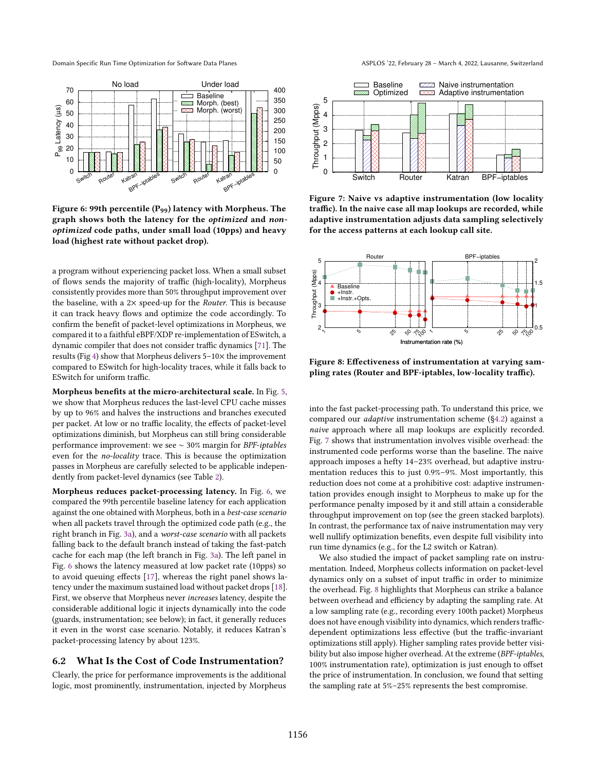Domain Specific Run Time Optimization for Software Data Planes ASPLOS '22, February 28 - March 4, 2022, Lausanne, Switzerland

<span id="page-8-0"></span>

Figure 6: 99th percentile (P99) latency with Morpheus. The graph shows both the latency for the optimized and nonoptimized code paths, under small load (10pps) and heavy load (highest rate without packet drop).

a program without experiencing packet loss. When a small subset of flows sends the majority of traffic (high-locality), Morpheus consistently provides more than 50% throughput improvement over the baseline, with a  $2\times$  speed-up for the *Router*. This is because it can track heavy flows and optimize the code accordingly. To confirm the benefit of packet-level optimizations in Morpheus, we compared it to a faithful eBPF/XDP re-implementation of ESwitch, a dynamic compiler that does not consider traffic dynamics [\[71\]](#page-15-7). The results (Fig [4\)](#page-7-1) show that Morpheus delivers  $5-10\times$  the improvement compared to ESwitch for high-locality traces, while it falls back to ESwitch for uniform traffic.

Morpheus benefits at the micro-architectural scale. In Fig. [5,](#page-7-2) we show that Morpheus reduces the last-level CPU cache misses by up to 96% and halves the instructions and branches executed per packet. At low or no traffic locality, the effects of packet-level optimizations diminish, but Morpheus can still bring considerable performance improvement: we see ∼ 30% margin for BPF-iptables even for the no-locality trace. This is because the optimization passes in Morpheus are carefully selected to be applicable independently from packet-level dynamics (see Table [2\)](#page-4-0).

Morpheus reduces packet-processing latency. In Fig. [6,](#page-8-0) we compared the 99th percentile baseline latency for each application against the one obtained with Morpheus, both in a best-case scenario when all packets travel through the optimized code path (e.g., the right branch in Fig. [3a\)](#page-5-5), and a worst-case scenario with all packets falling back to the default branch instead of taking the fast-patch cache for each map (the left branch in Fig. [3a\)](#page-5-5). The left panel in Fig. [6](#page-8-0) shows the latency measured at low packet rate (10pps) so to avoid queuing effects [\[17\]](#page-14-28), whereas the right panel shows latency under the maximum sustained load without packet drops [\[18\]](#page-14-29). First, we observe that Morpheus never increases latency, despite the considerable additional logic it injects dynamically into the code (guards, instrumentation; see below); in fact, it generally reduces it even in the worst case scenario. Notably, it reduces Katran's packet-processing latency by about 123%.

## 6.2 What Is the Cost of Code Instrumentation?

Clearly, the price for performance improvements is the additional logic, most prominently, instrumentation, injected by Morpheus

<span id="page-8-1"></span>

Figure 7: Naive vs adaptive instrumentation (low locality traffic). In the naive case all map lookups are recorded, while adaptive instrumentation adjusts data sampling selectively for the access patterns at each lookup call site.

<span id="page-8-2"></span>

Figure 8: Effectiveness of instrumentation at varying sampling rates (Router and BPF-iptables, low-locality traffic).

into the fast packet-processing path. To understand this price, we compared our adaptive instrumentation scheme ([ğ4.2\)](#page-4-1) against a naive approach where all map lookups are explicitly recorded. Fig. [7](#page-8-1) shows that instrumentation involves visible overhead: the instrumented code performs worse than the baseline. The naive approach imposes a hefty 14-23% overhead, but adaptive instrumentation reduces this to just 0.9%-9%. Most importantly, this reduction does not come at a prohibitive cost: adaptive instrumentation provides enough insight to Morpheus to make up for the performance penalty imposed by it and still attain a considerable throughput improvement on top (see the green stacked barplots). In contrast, the performance tax of naive instrumentation may very well nullify optimization benefits, even despite full visibility into run time dynamics (e.g., for the L2 switch or Katran).

We also studied the impact of packet sampling rate on instrumentation. Indeed, Morpheus collects information on packet-level dynamics only on a subset of input traffic in order to minimize the overhead. Fig. [8](#page-8-2) highlights that Morpheus can strike a balance between overhead and efficiency by adapting the sampling rate. At a low sampling rate (e.g., recording every 100th packet) Morpheus does not have enough visibility into dynamics, which renders trafficdependent optimizations less effective (but the traffic-invariant optimizations still apply). Higher sampling rates provide better visibility but also impose higher overhead. At the extreme (BPF-iptables, 100% instrumentation rate), optimization is just enough to offset the price of instrumentation. In conclusion, we found that setting the sampling rate at  $5\% - 25\%$  represents the best compromise.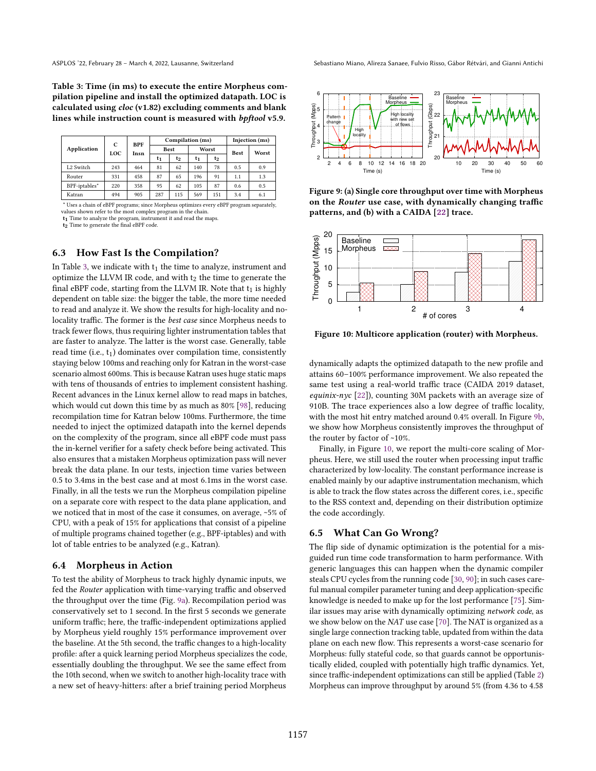Table 3: Time (in ms) to execute the entire Morpheus compilation pipeline and install the optimized datapath. LOC is calculated using cloc (v1.82) excluding comments and blank lines while instruction count is measured with bpftool v5.9.

<span id="page-9-0"></span>

|                       | C<br>LOC | <b>BPF</b><br>Insn | Compilation (ms) |     |       |                | Injection (ms) |       |
|-----------------------|----------|--------------------|------------------|-----|-------|----------------|----------------|-------|
| <b>Application</b>    |          |                    | <b>Best</b>      |     | Worst |                | <b>Best</b>    | Worst |
|                       |          |                    | t1               | t2  | t1    | t <sub>2</sub> |                |       |
| L <sub>2</sub> Switch | 243      | 464                | 81               | 62  | 140   | 78             | 0.5            | 0.9   |
| Router                | 331      | 458                | 87               | 65  | 196   | 91             | 1.1            | 1.3   |
| BPF-iptables*         | 220      | 358                | 95               | 62  | 105   | 87             | 0.6            | 0.5   |
| Katran                | 494      | 905                | 287              | 115 | 569   | 151            | 3.4            | 6.1   |

\* Uses a chain of eBPF programs; since Morpheus optimizes every eBPF program separately,

values shown refer to the most complex program in the chain.

t<sub>1</sub> Time to analyze the program, instrument it and read the maps t2 Time to generate the final eBPF code.

#### 6.3 How Fast Is the Compilation?

In Table [3,](#page-9-0) we indicate with  $t_1$  the time to analyze, instrument and optimize the LLVM IR code, and with  $t_2$  the time to generate the final eBPF code, starting from the LLVM IR. Note that  $t_1$  is highly dependent on table size: the bigger the table, the more time needed to read and analyze it. We show the results for high-locality and nolocality traffic. The former is the best case since Morpheus needs to track fewer flows, thus requiring lighter instrumentation tables that are faster to analyze. The latter is the worst case. Generally, table read time (i.e.,  $t_1$ ) dominates over compilation time, consistently staying below 100ms and reaching only for Katran in the worst-case scenario almost 600ms. This is because Katran uses huge static maps with tens of thousands of entries to implement consistent hashing. Recent advances in the Linux kernel allow to read maps in batches, which would cut down this time by as much as 80% [\[98\]](#page-16-13), reducing recompilation time for Katran below 100ms. Furthermore, the time needed to inject the optimized datapath into the kernel depends on the complexity of the program, since all eBPF code must pass the in-kernel verifier for a safety check before being activated. This also ensures that a mistaken Morpheus optimization pass will never break the data plane. In our tests, injection time varies between 0.5 to 3.4ms in the best case and at most 6.1ms in the worst case. Finally, in all the tests we run the Morpheus compilation pipeline on a separate core with respect to the data plane application, and we noticed that in most of the case it consumes, on average, ~5% of CPU, with a peak of 15% for applications that consist of a pipeline of multiple programs chained together (e.g., BPF-iptables) and with lot of table entries to be analyzed (e.g., Katran).

## 6.4 Morpheus in Action

To test the ability of Morpheus to track highly dynamic inputs, we fed the Router application with time-varying traffic and observed the throughput over the time (Fig. [9a\)](#page-9-1). Recompilation period was conservatively set to 1 second. In the first 5 seconds we generate uniform traffic; here, the traffic-independent optimizations applied by Morpheus yield roughly 15% performance improvement over the baseline. At the 5th second, the traffic changes to a high-locality profile: after a quick learning period Morpheus specializes the code, essentially doubling the throughput. We see the same effect from the 10th second, when we switch to another high-locality trace with a new set of heavy-hitters: after a brief training period Morpheus

<span id="page-9-1"></span>

<span id="page-9-2"></span>Figure 9: (a) Single core throughput over time with Morpheus on the Router use case, with dynamically changing traffic patterns, and (b) with a CAIDA [\[22\]](#page-14-30) trace.

<span id="page-9-3"></span>

Figure 10: Multicore application (router) with Morpheus.

dynamically adapts the optimized datapath to the new profile and attains 60-100% performance improvement. We also repeated the same test using a real-world traffic trace (CAIDA 2019 dataset, equinix-nyc  $[22]$ ), counting 30M packets with an average size of 910B. The trace experiences also a low degree of traffic locality, with the most hit entry matched around 0.4% overall. In Figure [9b,](#page-9-2) we show how Morpheus consistently improves the throughput of the router by factor of ~10%.

Finally, in Figure [10,](#page-9-3) we report the multi-core scaling of Morpheus. Here, we still used the router when processing input traffic characterized by low-locality. The constant performance increase is enabled mainly by our adaptive instrumentation mechanism, which is able to track the flow states across the different cores, i.e., specific to the RSS context and, depending on their distribution optimize the code accordingly.

#### <span id="page-9-4"></span>6.5 What Can Go Wrong?

The flip side of dynamic optimization is the potential for a misguided run time code transformation to harm performance. With generic languages this can happen when the dynamic compiler steals CPU cycles from the running code [\[30,](#page-14-5) [90\]](#page-16-14); in such cases careful manual compiler parameter tuning and deep application-specific knowledge is needed to make up for the lost performance [\[75\]](#page-15-28). Similar issues may arise with dynamically optimizing network code, as we show below on the NAT use case [\[70\]](#page-15-26). The NAT is organized as a single large connection tracking table, updated from within the data plane on each new flow. This represents a worst-case scenario for Morpheus: fully stateful code, so that guards cannot be opportunistically elided, coupled with potentially high traffic dynamics. Yet, since traffic-independent optimizations can still be applied (Table [2\)](#page-4-0) Morpheus can improve throughput by around 5% (from 4.36 to 4.58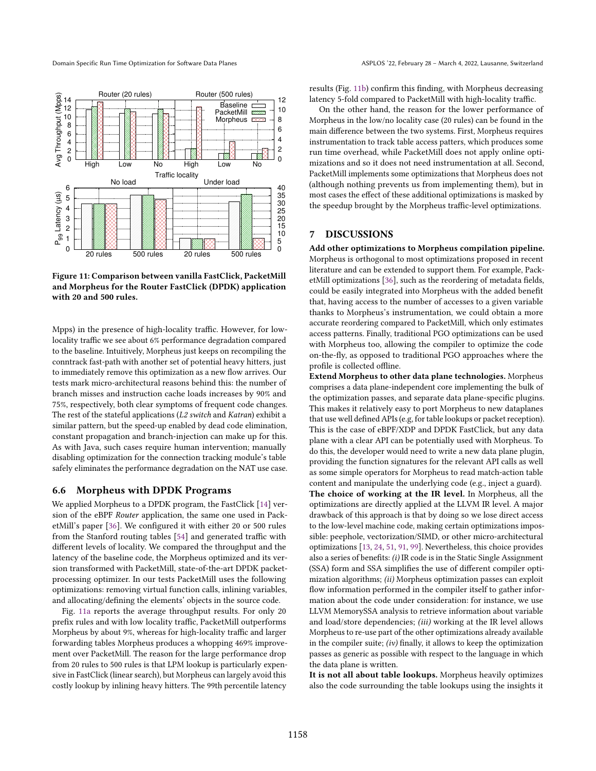<span id="page-10-0"></span>

<span id="page-10-1"></span>Figure 11: Comparison between vanilla FastClick, PacketMill and Morpheus for the Router FastClick (DPDK) application with 20 and 500 rules.

Mpps) in the presence of high-locality traffic. However, for lowlocality traffic we see about 6% performance degradation compared to the baseline. Intuitively, Morpheus just keeps on recompiling the conntrack fast-path with another set of potential heavy hitters, just to immediately remove this optimization as a new flow arrives. Our tests mark micro-architectural reasons behind this: the number of branch misses and instruction cache loads increases by 90% and 75%, respectively, both clear symptoms of frequent code changes. The rest of the stateful applications (L2 switch and Katran) exhibit a similar pattern, but the speed-up enabled by dead code elimination, constant propagation and branch-injection can make up for this. As with Java, such cases require human intervention; manually disabling optimization for the connection tracking module's table safely eliminates the performance degradation on the NAT use case.

#### 6.6 Morpheus with DPDK Programs

We applied Morpheus to a DPDK program, the FastClick [\[14\]](#page-14-24) version of the eBPF Router application, the same one used in PacketMill's paper [\[36\]](#page-14-12). We configured it with either 20 or 500 rules from the Stanford routing tables [\[54\]](#page-15-17) and generated traffic with different levels of locality. We compared the throughput and the latency of the baseline code, the Morpheus optimized and its version transformed with PacketMill, state-of-the-art DPDK packetprocessing optimizer. In our tests PacketMill uses the following optimizations: removing virtual function calls, inlining variables, and allocating/defining the elements' objects in the source code.

Fig. [11a](#page-10-0) reports the average throughput results. For only 20 prefix rules and with low locality traffic, PacketMill outperforms Morpheus by about 9%, whereas for high-locality traffic and larger forwarding tables Morpheus produces a whopping 469% improvement over PacketMill. The reason for the large performance drop from 20 rules to 500 rules is that LPM lookup is particularly expensive in FastClick (linear search), but Morpheus can largely avoid this costly lookup by inlining heavy hitters. The 99th percentile latency

results (Fig. [11b\)](#page-10-1) confirm this finding, with Morpheus decreasing latency 5-fold compared to PacketMill with high-locality traffic.

On the other hand, the reason for the lower performance of Morpheus in the low/no locality case (20 rules) can be found in the main difference between the two systems. First, Morpheus requires instrumentation to track table access patters, which produces some run time overhead, while PacketMill does not apply online optimizations and so it does not need instrumentation at all. Second, PacketMill implements some optimizations that Morpheus does not (although nothing prevents us from implementing them), but in most cases the effect of these additional optimizations is masked by the speedup brought by the Morpheus traffic-level optimizations.

# 7 DISCUSSIONS

Add other optimizations to Morpheus compilation pipeline. Morpheus is orthogonal to most optimizations proposed in recent literature and can be extended to support them. For example, PacketMill optimizations [\[36\]](#page-14-12), such as the reordering of metadata fields, could be easily integrated into Morpheus with the added benefit that, having access to the number of accesses to a given variable thanks to Morpheus's instrumentation, we could obtain a more accurate reordering compared to PacketMill, which only estimates access patterns. Finally, traditional PGO optimizations can be used with Morpheus too, allowing the compiler to optimize the code on-the-fly, as opposed to traditional PGO approaches where the profile is collected offline.

Extend Morpheus to other data plane technologies. Morpheus comprises a data plane-independent core implementing the bulk of the optimization passes, and separate data plane-specific plugins. This makes it relatively easy to port Morpheus to new dataplanes that use well defined APIs (e.g, for table lookups or packet reception). This is the case of eBPF/XDP and DPDK FastClick, but any data plane with a clear API can be potentially used with Morpheus. To do this, the developer would need to write a new data plane plugin, providing the function signatures for the relevant API calls as well as some simple operators for Morpheus to read match-action table content and manipulate the underlying code (e.g., inject a guard). The choice of working at the IR level. In Morpheus, all the optimizations are directly applied at the LLVM IR level. A major drawback of this approach is that by doing so we lose direct access to the low-level machine code, making certain optimizations impossible: peephole, vectorization/SIMD, or other micro-architectural optimizations [\[13,](#page-14-31) [24,](#page-14-32) [51,](#page-15-29) [91,](#page-16-15) [99\]](#page-16-16). Nevertheless, this choice provides also a series of benefits: (i) IR code is in the Static Single Assignment (SSA) form and SSA simplifies the use of different compiler optimization algorithms; (ii) Morpheus optimization passes can exploit flow information performed in the compiler itself to gather information about the code under consideration: for instance, we use LLVM MemorySSA analysis to retrieve information about variable and load/store dependencies; (iii) working at the IR level allows Morpheus to re-use part of the other optimizations already available in the compiler suite;  $(iv)$  finally, it allows to keep the optimization passes as generic as possible with respect to the language in which the data plane is written.

It is not all about table lookups. Morpheus heavily optimizes also the code surrounding the table lookups using the insights it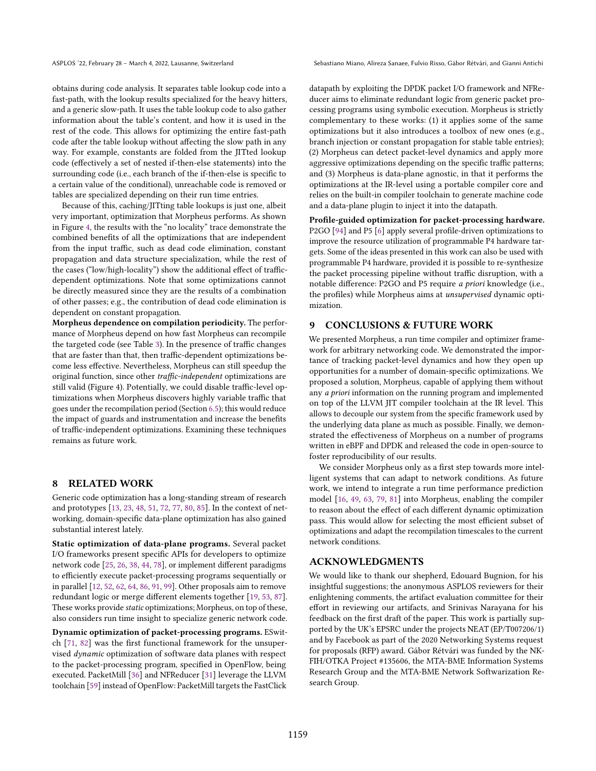ASPLOS '22, February 28 - March 4, 2022, Lausanne, Switzerland Switzerland Sebastiano Miano, Alireza Sanaee, Fulvio Risso, Gábor Rétvári, and Gianni Antichi

obtains during code analysis. It separates table lookup code into a fast-path, with the lookup results specialized for the heavy hitters, and a generic slow-path. It uses the table lookup code to also gather information about the table's content, and how it is used in the rest of the code. This allows for optimizing the entire fast-path code after the table lookup without affecting the slow path in any way. For example, constants are folded from the JITted lookup code (effectively a set of nested if-then-else statements) into the surrounding code (i.e., each branch of the if-then-else is specific to a certain value of the conditional), unreachable code is removed or tables are specialized depending on their run time entries.

Because of this, caching/JITting table lookups is just one, albeit very important, optimization that Morpheus performs. As shown in Figure [4,](#page-7-1) the results with the "no locality" trace demonstrate the combined benefits of all the optimizations that are independent from the input traffic, such as dead code elimination, constant propagation and data structure specialization, while the rest of the cases ("low/high-locality") show the additional effect of trafficdependent optimizations. Note that some optimizations cannot be directly measured since they are the results of a combination of other passes; e.g., the contribution of dead code elimination is dependent on constant propagation.

Morpheus dependence on compilation periodicity. The performance of Morpheus depend on how fast Morpheus can recompile the targeted code (see Table [3\)](#page-9-0). In the presence of traffic changes that are faster than that, then traffic-dependent optimizations become less effective. Nevertheless, Morpheus can still speedup the original function, since other traffic-independent optimizations are still valid (Figure 4). Potentially, we could disable traffic-level optimizations when Morpheus discovers highly variable traffic that goes under the recompilation period (Section [6.5\)](#page-9-4); this would reduce the impact of guards and instrumentation and increase the benefits of traffic-independent optimizations. Examining these techniques remains as future work.

# 8 RELATED WORK

Generic code optimization has a long-standing stream of research and prototypes [\[13,](#page-14-31) [23,](#page-14-8) [48,](#page-15-10) [51,](#page-15-29) [72,](#page-15-30) [77,](#page-15-5) [80,](#page-15-31) [85\]](#page-16-17). In the context of networking, domain-specific data-plane optimization has also gained substantial interest lately.

Static optimization of data-plane programs. Several packet I/O frameworks present specific APIs for developers to optimize network code [\[25,](#page-14-33) [26,](#page-14-34) [38,](#page-14-35) [44,](#page-15-32) [78\]](#page-15-2), or implement different paradigms to efficiently execute packet-processing programs sequentially or in parallel [\[12,](#page-14-36) [52,](#page-15-33) [62,](#page-15-13) [64,](#page-15-34) [86,](#page-16-18) [91,](#page-16-15) [99\]](#page-16-16). Other proposals aim to remove redundant logic or merge different elements together [\[19,](#page-14-37) [53,](#page-15-35) [87\]](#page-16-19). These works provide static optimizations; Morpheus, on top of these, also considers run time insight to specialize generic network code.

Dynamic optimization of packet-processing programs. ESwitch [\[71,](#page-15-7) [82\]](#page-16-6) was the first functional framework for the unsupervised dynamic optimization of software data planes with respect to the packet-processing program, specified in OpenFlow, being executed. PacketMill [\[36\]](#page-14-12) and NFReducer [\[31\]](#page-14-9) leverage the LLVM toolchain [\[59\]](#page-15-4) instead of OpenFlow: PacketMill targets the FastClick

datapath by exploiting the DPDK packet I/O framework and NFReducer aims to eliminate redundant logic from generic packet processing programs using symbolic execution. Morpheus is strictly complementary to these works: (1) it applies some of the same optimizations but it also introduces a toolbox of new ones (e.g., branch injection or constant propagation for stable table entries); (2) Morpheus can detect packet-level dynamics and apply more aggressive optimizations depending on the specific traffic patterns; and (3) Morpheus is data-plane agnostic, in that it performs the optimizations at the IR-level using a portable compiler core and relies on the built-in compiler toolchain to generate machine code and a data-plane plugin to inject it into the datapath.

Profile-guided optimization for packet-processing hardware. P2GO [\[94\]](#page-16-5) and P5 [\[6\]](#page-14-11) apply several profile-driven optimizations to improve the resource utilization of programmable P4 hardware targets. Some of the ideas presented in this work can also be used with programmable P4 hardware, provided it is possible to re-synthesize the packet processing pipeline without traffic disruption, with a notable difference: P2GO and P5 require a priori knowledge (i.e., the profiles) while Morpheus aims at unsupervised dynamic optimization.

## 9 CONCLUSIONS & FUTURE WORK

We presented Morpheus, a run time compiler and optimizer framework for arbitrary networking code. We demonstrated the importance of tracking packet-level dynamics and how they open up opportunities for a number of domain-specific optimizations. We proposed a solution, Morpheus, capable of applying them without any a priori information on the running program and implemented on top of the LLVM JIT compiler toolchain at the IR level. This allows to decouple our system from the specific framework used by the underlying data plane as much as possible. Finally, we demonstrated the effectiveness of Morpheus on a number of programs written in eBPF and DPDK and released the code in open-source to foster reproducibility of our results.

We consider Morpheus only as a first step towards more intelligent systems that can adapt to network conditions. As future work, we intend to integrate a run time performance prediction model [\[16,](#page-14-38) [49,](#page-15-36) [63,](#page-15-37) [79,](#page-15-23) [81\]](#page-16-20) into Morpheus, enabling the compiler to reason about the effect of each different dynamic optimization pass. This would allow for selecting the most efficient subset of optimizations and adapt the recompilation timescales to the current network conditions.

# ACKNOWLEDGMENTS

We would like to thank our shepherd, Edouard Bugnion, for his insightful suggestions; the anonymous ASPLOS reviewers for their enlightening comments, the artifact evaluation committee for their effort in reviewing our artifacts, and Srinivas Narayana for his feedback on the first draft of the paper. This work is partially supported by the UK's EPSRC under the projects NEAT (EP/T007206/1) and by Facebook as part of the 2020 Networking Systems request for proposals (RFP) award. Gábor Rétvári was funded by the NK-FIH/OTKA Project #135606, the MTA-BME Information Systems Research Group and the MTA-BME Network Softwarization Research Group.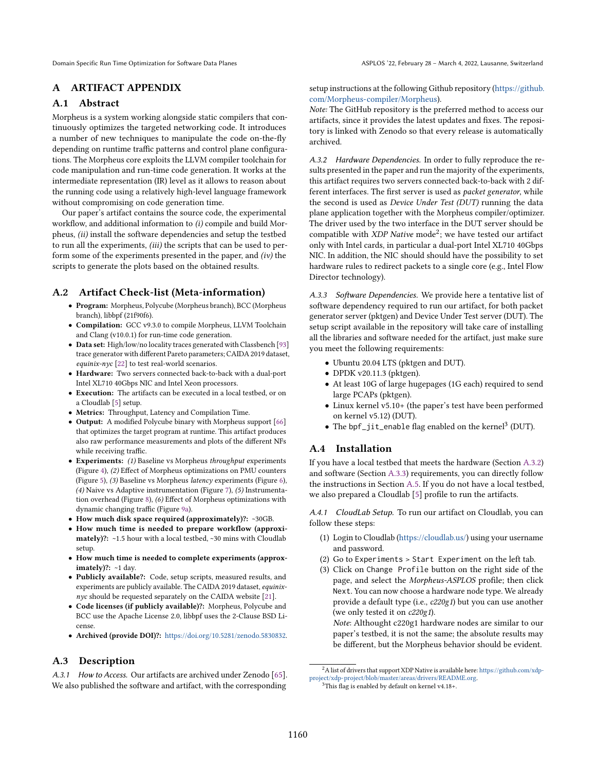# A ARTIFACT APPENDIX

# A.1 Abstract

Morpheus is a system working alongside static compilers that continuously optimizes the targeted networking code. It introduces a number of new techniques to manipulate the code on-the-fly depending on runtime traffic patterns and control plane configurations. The Morpheus core exploits the LLVM compiler toolchain for code manipulation and run-time code generation. It works at the intermediate representation (IR) level as it allows to reason about the running code using a relatively high-level language framework without compromising on code generation time.

Our paper's artifact contains the source code, the experimental workflow, and additional information to (i) compile and build Morpheus, (ii) install the software dependencies and setup the testbed to run all the experiments, (iii) the scripts that can be used to perform some of the experiments presented in the paper, and  $(iv)$  the scripts to generate the plots based on the obtained results.

# A.2 Artifact Check-list (Meta-information)

- Program: Morpheus, Polycube (Morpheus branch), BCC (Morpheus branch), libbpf (21f90f6).
- Compilation: GCC v9.3.0 to compile Morpheus, LLVM Toolchain and Clang (v10.0.1) for run-time code generation.
- Data set: High/low/no locality traces generated with Classbench [\[93\]](#page-16-7) trace generator with different Pareto parameters; CAIDA 2019 dataset, equinix-nyc [\[22\]](#page-14-30) to test real-world scenarios.
- Hardware: Two servers connected back-to-back with a dual-port Intel XL710 40Gbps NIC and Intel Xeon processors.
- Execution: The artifacts can be executed in a local testbed, or on a Cloudlab [\[5\]](#page-14-39) setup.
- Metrics: Throughput, Latency and Compilation Time.
- Output: A modified Polycube binary with Morpheus support [\[66\]](#page-15-38) that optimizes the target program at runtime. This artifact produces also raw performance measurements and plots of the different NFs while receiving traffic.
- Experiments: (1) Baseline vs Morpheus throughput experiments (Figure [4\)](#page-7-1), (2) Effect of Morpheus optimizations on PMU counters (Figure [5\)](#page-7-2), (3) Baseline vs Morpheus latency experiments (Figure [6\)](#page-8-0), (4) Naive vs Adaptive instrumentation (Figure [7\)](#page-8-1), (5) Instrumentation overhead (Figure [8\)](#page-8-2), (6) Effect of Morpheus optimizations with dynamic changing traffic (Figure [9a\)](#page-9-1).
- How much disk space required (approximately)?: ~30GB.
- How much time is needed to prepare workflow (approximately)?: ~1.5 hour with a local testbed, ~30 mins with Cloudlab setup.
- How much time is needed to complete experiments (approximately)?:  $~1$  day.
- Publicly available?: Code, setup scripts, measured results, and experiments are publicly available. The CAIDA 2019 dataset, equinix $nyc$  should be requested separately on the CAIDA website [\[21\]](#page-14-40).
- Code licenses (if publicly available)?: Morpheus, Polycube and BCC use the Apache License 2.0, libbpf uses the 2-Clause BSD License.
- Archived (provide DOI)?: [https://doi.org/10.5281/zenodo.5830832.](https://doi.org/10.5281/zenodo.5830832)

# A.3 Description

A.3.1 How to Access. Our artifacts are archived under Zenodo [\[65\]](#page-15-9). We also published the software and artifact, with the corresponding

setup instructions at the following Github repository [\(https://github.](https://github.com/Morpheus-compiler/Morpheus) [com/Morpheus-compiler/Morpheus\)](https://github.com/Morpheus-compiler/Morpheus).

Note: The GitHub repository is the preferred method to access our artifacts, since it provides the latest updates and fixes. The repository is linked with Zenodo so that every release is automatically archived.

<span id="page-12-0"></span>A.3.2 Hardware Dependencies. In order to fully reproduce the results presented in the paper and run the majority of the experiments, this artifact requires two servers connected back-to-back with 2 different interfaces. The first server is used as packet generator, while the second is used as Device Under Test (DUT) running the data plane application together with the Morpheus compiler/optimizer. The driver used by the two interface in the DUT server should be compatible with  $XDP$  Native mode<sup>2</sup>; we have tested our artifact only with Intel cards, in particular a dual-port Intel XL710 40Gbps NIC. In addition, the NIC should should have the possibility to set hardware rules to redirect packets to a single core (e.g., Intel Flow Director technology).

<span id="page-12-1"></span>A.3.3 Software Dependencies. We provide here a tentative list of software dependency required to run our artifact, for both packet generator server (pktgen) and Device Under Test server (DUT). The setup script available in the repository will take care of installing all the libraries and software needed for the artifact, just make sure you meet the following requirements:

- Ubuntu 20.04 LTS (pktgen and DUT).
- DPDK v20.11.3 (pktgen).
- At least 10G of large hugepages (1G each) required to send large PCAPs (pktgen).
- Linux kernel v5.10+ (the paper's test have been performed on kernel v5.12) (DUT).
- The  $\text{bpf\_jit\_enable}$  flag enabled on the kernel<sup>3</sup> (DUT).

# A.4 Installation

If you have a local testbed that meets the hardware (Section [A.3.2\)](#page-12-0) and software (Section [A.3.3\)](#page-12-1) requirements, you can directly follow the instructions in Section [A.5.](#page-13-0) If you do not have a local testbed, we also prepared a Cloudlab [\[5\]](#page-14-39) profile to run the artifacts.

A.4.1 CloudLab Setup. To run our artifact on Cloudlab, you can follow these steps:

- (1) Login to Cloudlab [\(https://cloudlab.us/\)](https://cloudlab.us/) using your username and password.
- (2) Go to Experiments > Start Experiment on the left tab.
- (3) Click on Change Profile button on the right side of the page, and select the Morpheus-ASPLOS profile; then click Next. You can now choose a hardware node type. We already provide a default type (i.e., c220g1) but you can use another (we only tested it on c220g1).

Note: Althought c220g1 hardware nodes are similar to our paper's testbed, it is not the same; the absolute results may be different, but the Morpheus behavior should be evident.

 $^2\mathsf{A}$  list of drivers that support XDP Native is available here: [https://github.com/xdp](https://github.com/xdp-project/xdp-project/blob/master/areas/drivers/README.org)[project/xdp-project/blob/master/areas/drivers/README.org.](https://github.com/xdp-project/xdp-project/blob/master/areas/drivers/README.org)  $3$ This flag is enabled by default on kernel v4.18+.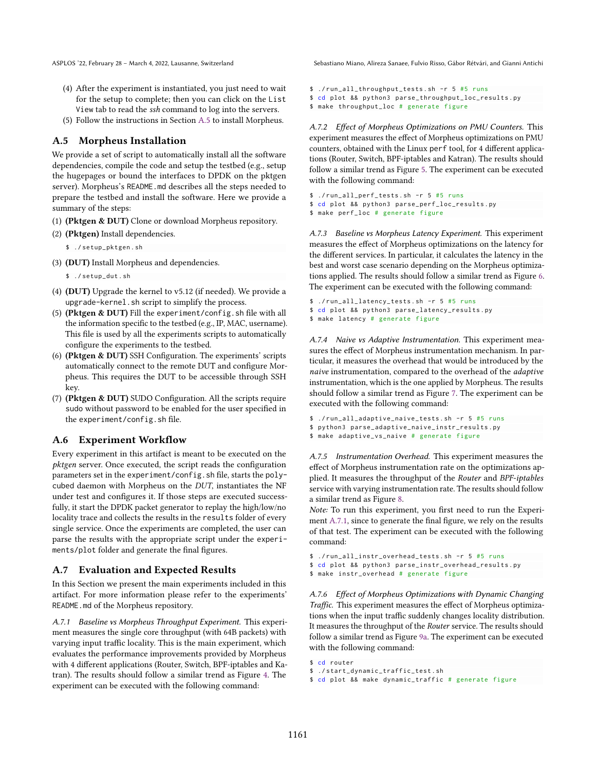- (4) After the experiment is instantiated, you just need to wait for the setup to complete; then you can click on the List View tab to read the ssh command to log into the servers.
- (5) Follow the instructions in Section [A.5](#page-13-0) to install Morpheus.

#### <span id="page-13-0"></span>A.5 Morpheus Installation

We provide a set of script to automatically install all the software dependencies, compile the code and setup the testbed (e.g., setup the hugepages or bound the interfaces to DPDK on the pktgen server). Morpheus's README.md describes all the steps needed to prepare the testbed and install the software. Here we provide a summary of the steps:

- (1) (Pktgen & DUT) Clone or download Morpheus repository.
- (2) (Pktgen) Install dependencies.

\$ ./ setup\_pktgen . sh

(3) (DUT) Install Morpheus and dependencies.

\$ ./ setup\_dut . sh

- (4) (DUT) Upgrade the kernel to v5.12 (if needed). We provide a upgrade-kernel.sh script to simplify the process.
- (5) (Pktgen & DUT) Fill the experiment/config.sh file with all the information specific to the testbed (e.g., IP, MAC, username). This file is used by all the experiments scripts to automatically configure the experiments to the testbed.
- (6) (Pktgen & DUT) SSH Configuration. The experiments' scripts automatically connect to the remote DUT and configure Morpheus. This requires the DUT to be accessible through SSH key.
- (7) (Pktgen & DUT) SUDO Configuration. All the scripts require sudo without password to be enabled for the user specified in the experiment/config.sh file.

# A.6 Experiment Workflow

Every experiment in this artifact is meant to be executed on the pktgen server. Once executed, the script reads the configuration parameters set in the experiment/config.sh file, starts the polycubed daemon with Morpheus on the DUT, instantiates the NF under test and configures it. If those steps are executed successfully, it start the DPDK packet generator to replay the high/low/no locality trace and collects the results in the results folder of every single service. Once the experiments are completed, the user can parse the results with the appropriate script under the experiments/plot folder and generate the final figures.

## A.7 Evaluation and Expected Results

In this Section we present the main experiments included in this artifact. For more information please refer to the experiments' README.md of the Morpheus repository.

<span id="page-13-1"></span>A.7.1 Baseline vs Morpheus Throughput Experiment. This experiment measures the single core throughput (with 64B packets) with varying input traffic locality. This is the main experiment, which evaluates the performance improvements provided by Morpheus with 4 different applications (Router, Switch, BPF-iptables and Katran). The results should follow a similar trend as Figure [4.](#page-7-1) The experiment can be executed with the following command:

ASPLOS '22, February 28 - March 4, 2022, Lausanne, Switzerland Switzerland Sebastiano Miano, Alireza Sanaee, Fulvio Risso, Gábor Rétvári, and Gianni Antichi

```
$ ./run_all_throughput_tests.sh -r 5 #5 runs
$ cd plot && python3 parse_throughput_loc_results . py
$ make throughput_loc # generate figure
```
A.7.2 Effect of Morpheus Optimizations on PMU Counters. This experiment measures the effect of Morpheus optimizations on PMU counters, obtained with the Linux perf tool, for 4 different applications (Router, Switch, BPF-iptables and Katran). The results should follow a similar trend as Figure [5.](#page-7-2) The experiment can be executed with the following command:

```
$ ./run_all_perf_tests.sh -r 5 #5 runs
$ cd plot && python3 parse_perf_loc_results . py
$ make perf_loc # generate figure
```
A.7.3 Baseline vs Morpheus Latency Experiment. This experiment measures the effect of Morpheus optimizations on the latency for the different services. In particular, it calculates the latency in the best and worst case scenario depending on the Morpheus optimizations applied. The results should follow a similar trend as Figure [6.](#page-8-0) The experiment can be executed with the following command:

```
$ ./run_all_latency_tests.sh -r 5 #5 runs
$ cd plot && python3 parse_latency_results . py
$ make latency # generate figure
```
A.7.4 Naive vs Adaptive Instrumentation. This experiment measures the effect of Morpheus instrumentation mechanism. In particular, it measures the overhead that would be introduced by the naive instrumentation, compared to the overhead of the *adaptive* instrumentation, which is the one applied by Morpheus. The results should follow a similar trend as Figure [7.](#page-8-1) The experiment can be executed with the following command:

```
$ ./run_all_adaptive_naive_tests.sh -r 5 #5 runs
$ python3 parse_adaptive_naive_instr_results . py
$ make adaptive_vs_naive # generate figure
```
A.7.5 Instrumentation Overhead. This experiment measures the effect of Morpheus instrumentation rate on the optimizations applied. It measures the throughput of the Router and BPF-iptables service with varying instrumentation rate. The results should follow a similar trend as Figure [8.](#page-8-2)

Note: To run this experiment, you first need to run the Experiment [A.7.1,](#page-13-1) since to generate the final figure, we rely on the results of that test. The experiment can be executed with the following command:

```
$ ./run_all_instr_overhead_tests.sh -r 5 #5 runs
$ cd plot && python3 parse_instr_overhead_results . py
$ make instr_overhead # generate figure
```
A.7.6 Effect of Morpheus Optimizations with Dynamic Changing Traffic. This experiment measures the effect of Morpheus optimizations when the input traffic suddenly changes locality distribution. It measures the throughput of the Router service. The results should follow a similar trend as Figure [9a.](#page-9-1) The experiment can be executed with the following command:

```
$ cd router
$ ./ start_dynamic_traffic_test . sh
$ cd plot && make dynamic_traffic # generate figure
```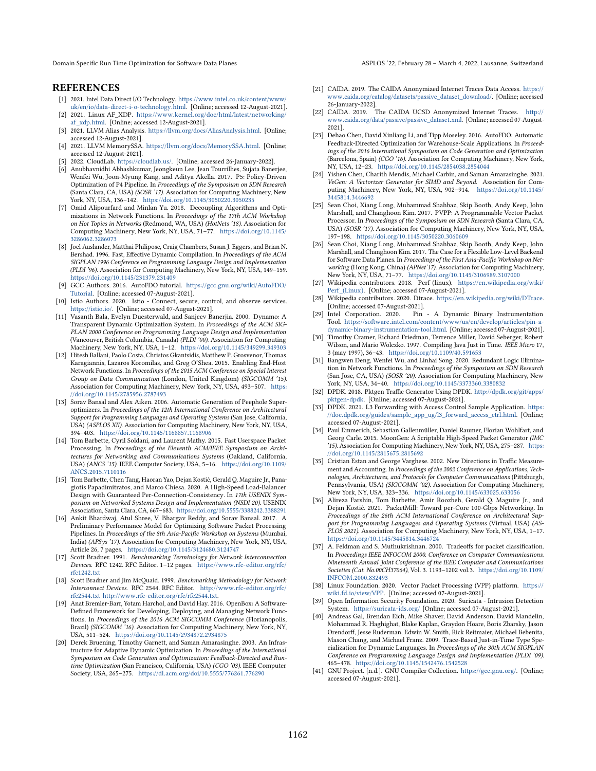Domain Specific Run Time Optimization for Software Data Planes ASPLOS '22, February 28 - March 4, 2022, Lausanne, Switzerland

## **REFERENCES**

- <span id="page-14-25"></span>[1] 2021. Intel Data Direct I/O Technology. https://www.intel.co.[uk/content/www/](https://www.intel.co.uk/content/www/uk/en/io/data-direct-i-o-technology.html) [uk/en/io/data-direct-i-o-technology](https://www.intel.co.uk/content/www/uk/en/io/data-direct-i-o-technology.html).html. [Online; accessed 12-August-2021].
- <span id="page-14-23"></span>[2] 2021. Linux AF\_XDP. https://www.kernel.[org/doc/html/latest/networking/](https://www.kernel.org/doc/html/latest/networking/af_xdp.html) [af\\_xdp](https://www.kernel.org/doc/html/latest/networking/af_xdp.html).html. [Online; accessed 12-August-2021].
- <span id="page-14-20"></span>[3] 2021. LLVM Alias Analysis. https://llvm.[org/docs/AliasAnalysis](https://llvm.org/docs/AliasAnalysis.html).html. [Online; accessed 12-August-2021].
- <span id="page-14-19"></span>[4] 2021. LLVM MemorySSA. https://llvm.[org/docs/MemorySSA](https://llvm.org/docs/MemorySSA.html).html. [Online; accessed 12-August-2021].
- <span id="page-14-39"></span>[5] 2022. CloudLab. [https://cloudlab](https://cloudlab.us/).us/. [Online; accessed 26-January-2022].
- <span id="page-14-11"></span>[6] Anubhavnidhi Abhashkumar, Jeongkeun Lee, Jean Tourrilhes, Sujata Banerjee, Wenfei Wu, Joon-Myung Kang, and Aditya Akella. 2017. P5: Policy-Driven Optimization of P4 Pipeline. In Proceedings of the Symposium on SDN Research (Santa Clara, CA, USA) (SOSR '17). Association for Computing Machinery, New York, NY, USA, 136-142. https://doi.org/10.[1145/3050220](https://doi.org/10.1145/3050220.3050235).3050235
- <span id="page-14-2"></span>[7] Omid Alipourfard and Minlan Yu. 2018. Decoupling Algorithms and Optimizations in Network Functions. In Proceedings of the 17th ACM Workshop on Hot Topics in Networks (Redmond, WA, USA) (HotNets '18). Association for Computing Machinery, New York, NY, USA, 71-77. [https://doi](https://doi.org/10.1145/3286062.3286073).org/10.1145/ [3286062](https://doi.org/10.1145/3286062.3286073).3286073
- <span id="page-14-6"></span>[8] Joel Auslander, Matthai Philipose, Craig Chambers, Susan J. Eggers, and Brian N. Bershad. 1996. Fast, Effective Dynamic Compilation. In Proceedings of the ACM SIGPLAN 1996 Conference on Programming Language Design and Implementation (PLDI '96). Association for Computing Machinery, New York, NY, USA, 149-159. https://doi.org/10.[1145/231379](https://doi.org/10.1145/231379.231409).231409
- <span id="page-14-16"></span>[9] GCC Authors. 2016. AutoFDO tutorial. https://gcc.gnu.[org/wiki/AutoFDO/](https://gcc.gnu.org/wiki/AutoFDO/Tutorial) [Tutorial.](https://gcc.gnu.org/wiki/AutoFDO/Tutorial) [Online; accessed 07-August-2021].
- <span id="page-14-0"></span>[10] Istio Authors. 2020. Istio - Connect, secure, control, and observe services. [https://istio](https://istio.io/).io/. [Online; accessed 07-August-2021].
- <span id="page-14-4"></span>[11] Vasanth Bala, Evelyn Duesterwald, and Sanjeev Banerjia. 2000. Dynamo: A Transparent Dynamic Optimization System. In Proceedings of the ACM SIG-PLAN 2000 Conference on Programming Language Design and Implementation (Vancouver, British Columbia, Canada) (PLDI '00). Association for Computing Machinery, New York, NY, USA, 1-12. https://doi.org/10.[1145/349299](https://doi.org/10.1145/349299.349303).349303
- <span id="page-14-36"></span>[12] Hitesh Ballani, Paolo Costa, Christos Gkantsidis, Matthew P. Grosvenor, Thomas Karagiannis, Lazaros Koromilas, and Greg O'Shea. 2015. Enabling End-Host Network Functions. In Proceedings of the 2015 ACM Conference on Special Interest Group on Data Communication (London, United Kingdom) (SIGCOMM '15). Association for Computing Machinery, New York, NY, USA, 493-507. [https:](https://doi.org/10.1145/2785956.2787493) //doi.org/10.[1145/2785956](https://doi.org/10.1145/2785956.2787493).2787493
- <span id="page-14-31"></span>[13] Sorav Bansal and Alex Aiken. 2006. Automatic Generation of Peephole Superoptimizers. In Proceedings of the 12th International Conference on Architectural Support for Programming Languages and Operating Systems (San Jose, California, USA) (ASPLOS XII). Association for Computing Machinery, New York, NY, USA, 394-403. https://doi.org/10.[1145/1168857](https://doi.org/10.1145/1168857.1168906).1168906
- <span id="page-14-24"></span>[14] Tom Barbette, Cyril Soldani, and Laurent Mathy. 2015. Fast Userspace Packet Processing. In Proceedings of the Eleventh ACM/IEEE Symposium on Architectures for Networking and Communications Systems (Oakland, California, USA) (ANCS '15). IEEE Computer Society, USA, 5-16. [https://doi](https://doi.org/10.1109/ANCS.2015.7110116).org/10.1109/ ANCS.2015.[7110116](https://doi.org/10.1109/ANCS.2015.7110116)
- <span id="page-14-14"></span>[15] Tom Barbette, Chen Tang, Haoran Yao, Dejan Kostić, Gerald Q. Maguire Jr., Panagiotis Papadimitratos, and Marco Chiesa. 2020. A High-Speed Load-Balancer Design with Guaranteed Per-Connection-Consistency. In 17th USENIX Symposium on Networked Systems Design and Implementation (NSDI 20). USENIX Association, Santa Clara, CA, 667-683. https://doi.org/10.[5555/3388242](https://doi.org/10.5555/3388242.3388291).3388291
- <span id="page-14-38"></span>[16] Ankit Bhardwaj, Atul Shree, V. Bhargav Reddy, and Sorav Bansal. 2017. A Preliminary Performance Model for Optimizing Software Packet Processing Pipelines. In Proceedings of the 8th Asia-Pacific Workshop on Systems (Mumbai, India) (APSys '17). Association for Computing Machinery, New York, NY, USA, Article 26, 7 pages. https://doi.org/10.[1145/3124680](https://doi.org/10.1145/3124680.3124747).3124747
- <span id="page-14-28"></span>[17] Scott Bradner. 1991. Benchmarking Terminology for Network Interconnection Devices. RFC 1242. RFC Editor. 1-12 pages. [https://www](https://www.rfc-editor.org/rfc/rfc1242.txt).rfc-editor.org/rfc/ [rfc1242](https://www.rfc-editor.org/rfc/rfc1242.txt).txt
- <span id="page-14-29"></span>[18] Scott Bradner and Jim McQuaid. 1999. Benchmarking Methodology for Network Interconnect Devices. RFC 2544. RFC Editor. [http://www](http://www.rfc-editor.org/rfc/rfc2544.txt).rfc-editor.org/rfc/ [rfc2544](http://www.rfc-editor.org/rfc/rfc2544.txt).txt http://www.rfc-editor.[org/rfc/rfc2544](http://www.rfc-editor.org/rfc/rfc2544.txt).txt.
- <span id="page-14-37"></span>[19] Anat Bremler-Barr, Yotam Harchol, and David Hay. 2016. OpenBox: A Software-Defined Framework for Developing, Deploying, and Managing Network Functions. In Proceedings of the 2016 ACM SIGCOMM Conference (Florianopolis, Brazil) (SIGCOMM '16). Association for Computing Machinery, New York, NY, USA, 511-524. https://doi.org/10.[1145/2934872](https://doi.org/10.1145/2934872.2934875).2934875
- <span id="page-14-17"></span>[20] Derek Bruening, Timothy Garnett, and Saman Amarasinghe. 2003. An Infrastructure for Adaptive Dynamic Optimization. In Proceedings of the International Symposium on Code Generation and Optimization: Feedback-Directed and Runtime Optimization (San Francisco, California, USA) (CGO '03). IEEE Computer Society, USA, 265-275. https://dl.acm.org/doi/10.[5555/776261](https://dl.acm.org/doi/10.5555/776261.776290).776290
- <span id="page-14-40"></span>[21] CAIDA. 2019. The CAIDA Anonymized Internet Traces Data Access. [https://](https://www.caida.org/catalog/datasets/passive_dataset_download/) www.caida.[org/catalog/datasets/passive\\_dataset\\_download/.](https://www.caida.org/catalog/datasets/passive_dataset_download/) [Online; accessed 26-January-2022].
- <span id="page-14-30"></span>[22] CAIDA. 2019. The CAIDA UCSD Anonymized Internet Traces. [http://](http://www.caida.org/data/passive/passive_dataset.xml) www.caida.[org/data/passive/passive\\_dataset](http://www.caida.org/data/passive/passive_dataset.xml).xml. [Online; accessed 07-August-2021].
- <span id="page-14-8"></span>[23] Dehao Chen, David Xinliang Li, and Tipp Moseley. 2016. AutoFDO: Automatic Feedback-Directed Optimization for Warehouse-Scale Applications. In Proceedings of the 2016 International Symposium on Code Generation and Optimization (Barcelona, Spain) (CGO '16). Association for Computing Machinery, New York, NY, USA, 12-23. https://doi.org/10.[1145/2854038](https://doi.org/10.1145/2854038.2854044).2854044
- <span id="page-14-32"></span>[24] Yishen Chen, Charith Mendis, Michael Carbin, and Saman Amarasinghe. 2021. VeGen: A Vectorizer Generator for SIMD and Beyond. Association for Computing Machinery, New York, NY, USA, 902-914. [https://doi](https://doi.org/10.1145/3445814.3446692).org/10.1145/ [3445814](https://doi.org/10.1145/3445814.3446692).3446692
- <span id="page-14-33"></span>[25] Sean Choi, Xiang Long, Muhammad Shahbaz, Skip Booth, Andy Keep, John Marshall, and Changhoon Kim. 2017. PVPP: A Programmable Vector Packet Processor. In Proceedings of the Symposium on SDN Research (Santa Clara, CA, USA) (SOSR '17). Association for Computing Machinery, New York, NY, USA, 197-198. https://doi.org/10.[1145/3050220](https://doi.org/10.1145/3050220.3060609).3060609
- <span id="page-14-34"></span>[26] Sean Choi, Xiang Long, Muhammad Shahbaz, Skip Booth, Andy Keep, John Marshall, and Changhoon Kim. 2017. The Case for a Flexible Low-Level Backend for Software Data Planes. In Proceedings of the First Asia-Pacific Workshop on Networking (Hong Kong, China) (APNet'17). Association for Computing Machinery, New York, NY, USA, 71-77. https://doi.org/10.[1145/3106989](https://doi.org/10.1145/3106989.3107000).3107000
- <span id="page-14-10"></span>[27] Wikipedia contributors. 2018. Perf (linux). https://en.[wikipedia](https://en.wikipedia.org/wiki/Perf_(Linux)).org/wiki/ [Perf\\_\(Linux](https://en.wikipedia.org/wiki/Perf_(Linux))). [Online; accessed 07-August-2021].
- <span id="page-14-15"></span>[28] Wikipedia contributors. 2020. Dtrace. https://en.wikipedia.[org/wiki/DTrace.](https://en.wikipedia.org/wiki/DTrace) [Online; accessed 07-August-2021].<br>[29] Intel Corporation. 2020. Pin
- <span id="page-14-18"></span>Pin - A Dynamic Binary Instrumentation. Tool. https://software.intel.[com/content/www/us/en/develop/articles/pin-a](https://software.intel.com/content/www/us/en/develop/articles/pin-a-dynamic-binary-instrumentation-tool.html)[dynamic-binary-instrumentation-tool](https://software.intel.com/content/www/us/en/develop/articles/pin-a-dynamic-binary-instrumentation-tool.html).html. [Online; accessed 07-August-2021].
- <span id="page-14-5"></span>[30] Timothy Cramer, Richard Friedman, Terrence Miller, David Seberger, Robert Wilson, and Mario Wolczko. 1997. Compiling Java Just in Time. IEEE Micro 17,  $3$  (may 1997),  $36-43$ . [https://doi](https://doi.org/10.1109/40.591653).org/10.1109/40.591653
- <span id="page-14-9"></span>[31] Bangwen Deng, Wenfei Wu, and Linhai Song. 2020. Redundant Logic Elimination in Network Functions. In Proceedings of the Symposium on SDN Research (San Jose, CA, USA) (SOSR '20). Association for Computing Machinery, New York, NY, USA, 34-40. https://doi.org/10.[1145/3373360](https://doi.org/10.1145/3373360.3380832).3380832
- <span id="page-14-26"></span>[32] DPDK. 2018. Pktgen Traffic Generator Using DPDK. http://dpdk.[org/git/apps/](http://dpdk.org/git/apps/pktgen-dpdk) [pktgen-dpdk.](http://dpdk.org/git/apps/pktgen-dpdk) [Online; accessed 07-August-2021].
- <span id="page-14-13"></span>[33] DPDK. 2021. L3 Forwarding with Access Control Sample Application. [https:](https://doc.dpdk.org/guides/sample_app_ug/l3_forward_access_ctrl.html) //doc.dpdk.[org/guides/sample\\_app\\_ug/l3\\_forward\\_access\\_ctrl](https://doc.dpdk.org/guides/sample_app_ug/l3_forward_access_ctrl.html).html. [Online; accessed 07-August-2021].
- <span id="page-14-27"></span>[34] Paul Emmerich, Sebastian Gallenmüller, Daniel Raumer, Florian Wohlfart, and Georg Carle. 2015. MoonGen: A Scriptable High-Speed Packet Generator (IMC '15). Association for Computing Machinery, New York, NY, USA, 275-287. [https:](https://doi.org/10.1145/2815675.2815692) //doi.org/10.[1145/2815675](https://doi.org/10.1145/2815675.2815692).2815692
- <span id="page-14-21"></span>[35] Cristian Estan and George Varghese. 2002. New Directions in Traffic Measurement and Accounting. In Proceedings of the 2002 Conference on Applications, Technologies, Architectures, and Protocols for Computer Communications (Pittsburgh, Pennsylvania, USA) (SIGCOMM '02). Association for Computing Machinery, New York, NY, USA, 323-336. https://doi.org/10.[1145/633025](https://doi.org/10.1145/633025.633056).633056
- <span id="page-14-12"></span>[36] Alireza Farshin, Tom Barbette, Amir Roozbeh, Gerald Q. Maguire Jr., and Dejan Kostić. 2021. PacketMill: Toward per-Core 100-Gbps Networking. In Proceedings of the 26th ACM International Conference on Architectural Support for Programming Languages and Operating Systems (Virtual, USA) (AS-PLOS 2021). Association for Computing Machinery, New York, NY, USA, 1-17. https://doi.org/10.[1145/3445814](https://doi.org/10.1145/3445814.3446724).3446724
- <span id="page-14-22"></span>[37] A. Feldman and S. Muthukrishnan. 2000. Tradeoffs for packet classification. In Proceedings IEEE INFOCOM 2000. Conference on Computer Communications. Nineteenth Annual Joint Conference of the IEEE Computer and Communications Societies (Cat. No.00CH37064), Vol. 3. 1193-1202 vol.3. [https://doi](https://doi.org/10.1109/INFCOM.2000.832493).org/10.1109/ [INFCOM](https://doi.org/10.1109/INFCOM.2000.832493).2000.832493
- <span id="page-14-35"></span>[38] Linux Foundation. 2020. Vector Packet Processing (VPP) platform. [https://](https://wiki.fd.io/view/VPP) wiki.fd.[io/view/VPP.](https://wiki.fd.io/view/VPP) [Online; accessed 07-August-2021].
- <span id="page-14-1"></span>[39] Open Information Security Foundation. 2020. Suricata - Intrusion Detection System. [https://suricata-ids](https://suricata-ids.org/).org/ [Online; accessed 07-August-2021].
- <span id="page-14-7"></span>[40] Andreas Gal, Brendan Eich, Mike Shaver, David Anderson, David Mandelin, Mohammad R. Haghighat, Blake Kaplan, Graydon Hoare, Boris Zbarsky, Jason Orendorff, Jesse Ruderman, Edwin W. Smith, Rick Reitmaier, Michael Bebenita, Mason Chang, and Michael Franz. 2009. Trace-Based Just-in-Time Type Specialization for Dynamic Languages. In Proceedings of the 30th ACM SIGPLAN Conference on Programming Language Design and Implementation (PLDI '09). 465ś478. https://doi.org/10.[1145/1542476](https://doi.org/10.1145/1542476.1542528).1542528
- <span id="page-14-3"></span>[41] GNU Project. [n.d.]. GNU Compiler Collection. [https://gcc](https://gcc.gnu.org/).gnu.org/. [Online; accessed 07-August-2021].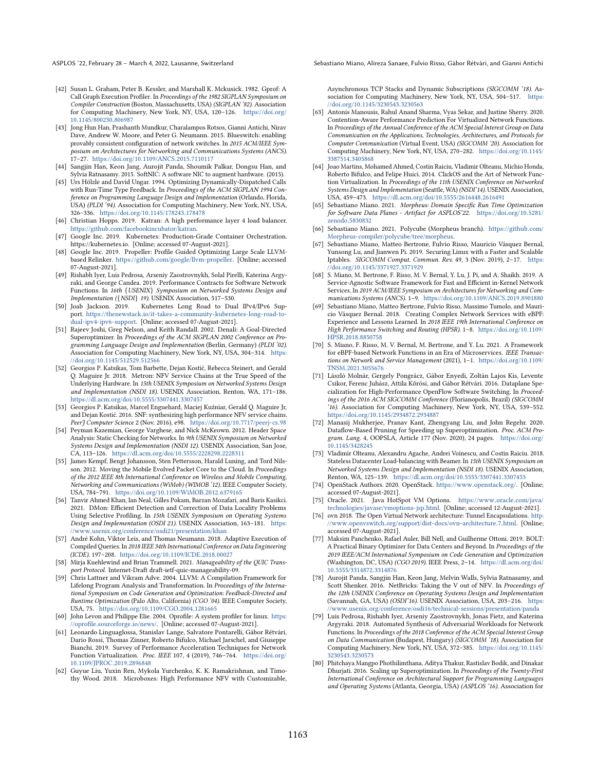ASPLOS '22, February 28 - March 4, 2022, Lausanne, Switzerland Switzerland Sebastiano Miano, Alireza Sanaee, Fulvio Risso, Gábor Rétvári, and Gianni Antichi

- <span id="page-15-19"></span>[42] Susan L. Graham, Peter B. Kessler, and Marshall K. Mckusick. 1982. Gprof: A Call Graph Execution Profiler. In Proceedings of the 1982 SIGPLAN Symposium on Compiler Construction (Boston, Massachusetts, USA) (SIGPLAN '82). Association for Computing Machinery, New York, NY, USA, 120-126. [https://doi](https://doi.org/10.1145/800230.806987).org/ 10.[1145/800230](https://doi.org/10.1145/800230.806987).806987
- <span id="page-15-24"></span>[43] Jong Hun Han, Prashanth Mundkur, Charalampos Rotsos, Gianni Antichi, Nirav Dave, Andrew W. Moore, and Peter G. Neumann. 2015. Blueswitch: enabling provably consistent configuration of network switches. In 2015 ACM/IEEE Symposium on Architectures for Networking and Communications Systems (ANCS). .<br>17–27. https://doi.org/10.[1109/ANCS](https://doi.org/10.1109/ANCS.2015.7110117).2015.7110117
- <span id="page-15-32"></span>[44] Sangjin Han, Keon Jang, Aurojit Panda, Shoumik Palkar, Dongsu Han, and Sylvia Ratnasamy. 2015. SoftNIC: A software NIC to augment hardware. (2015).
- <span id="page-15-22"></span>[45] Urs Hölzle and David Ungar. 1994. Optimizing Dynamically-Dispatched Calls with Run-Time Type Feedback. In Proceedings of the ACM SIGPLAN 1994 Conference on Programming Language Design and Implementation (Orlando, Florida, USA) (PLDI '94). Association for Computing Machinery, New York, NY, USA, 326-336. https://doi.org/10.[1145/178243](https://doi.org/10.1145/178243.178478).178478
- <span id="page-15-0"></span>[46] Christian Hopps. 2019. Katran: A high performance layer 4 load balancer. https://github.[com/facebookincubator/katran.](https://github.com/facebookincubator/katran)
- <span id="page-15-15"></span>[47] Google Inc. 2019. Kubernetes: Production-Grade Container Orchestration. https://kubernetes.io. [Online; accessed 07-August-2021].
- <span id="page-15-10"></span>[48] Google Inc. 2019. Propeller: Profile Guided Optimizing Large Scale LLVMbased Relinker. https://github.[com/google/llvm-propeller.](https://github.com/google/llvm-propeller) [Online; accessed 07-August-2021].
- <span id="page-15-36"></span>[49] Rishabh Iyer, Luis Pedrosa, Arseniy Zaostrovnykh, Solal Pirelli, Katerina Argyraki, and George Candea. 2019. Performance Contracts for Software Network Functions. In 16th {USENIX} Symposium on Networked Systems Design and Implementation ({NSDI} 19). USENIX Association, 517–530.<br>[50] Joab Jackson. 2019. Kubernetes Long Road to Dual IPv4/IPv6 Sup-
- <span id="page-15-11"></span>port. https://thenewstack.[io/it-takes-a-community-kubernetes-long-road-to](https://thenewstack.io/it-takes-a-community-kubernetes-long-road-to-dual-ipv4-ipv6-support)[dual-ipv4-ipv6-support.](https://thenewstack.io/it-takes-a-community-kubernetes-long-road-to-dual-ipv4-ipv6-support) [Online; accessed 07-August-2021].
- <span id="page-15-29"></span>[51] Rajeev Joshi, Greg Nelson, and Keith Randall. 2002. Denali: A Goal-Directed Superoptimizer. In Proceedings of the ACM SIGPLAN 2002 Conference on Programming Language Design and Implementation (Berlin, Germany) (PLDI '02). Association for Computing Machinery, New York, NY, USA, 304-314. [https:](https://doi.org/10.1145/512529.512566) //doi.org/10.[1145/512529](https://doi.org/10.1145/512529.512566).512566
- <span id="page-15-33"></span>[52] Georgios P. Katsikas, Tom Barbette, Dejan Kostić, Rebecca Steinert, and Gerald Q. Maguire Jr. 2018. Metron: NFV Service Chains at the True Speed of the Underlying Hardware. In 15th USENIX Symposium on Networked Systems Design and Implementation (NSDI 18). USENIX Association, Renton, WA, 171-186. https://dl.acm.org/doi/10.[5555/3307441](https://dl.acm.org/doi/10.5555/3307441.3307457).3307457
- <span id="page-15-35"></span>[53] Georgios P. Katsikas, Marcel Enguehard, Maciej Kuźniar, Gerald Q. Maguire Jr, and Dejan Kostić. 2016. SNF: synthesizing high performance NFV service chains. PeerJ Computer Science 2 (Nov. 2016), e98. https://doi.org/10.[7717/peerj-cs](https://doi.org/10.7717/peerj-cs.98).98
- <span id="page-15-17"></span>[54] Peyman Kazemian, George Varghese, and Nick McKeown. 2012. Header Space Analysis: Static Checking for Networks. In 9th USENIX Symposium on Networked Systems Design and Implementation (NSDI 12). USENIX Association, San Jose, CA, 113-126. https://dl.acm.org/doi/10.[5555/2228298](https://dl.acm.org/doi/10.5555/2228298.2228311).2228311
- <span id="page-15-1"></span>[55] James Kempf, Bengt Johansson, Sten Pettersson, Harald Luning, and Tord Nilsson. 2012. Moving the Mobile Evolved Packet Core to the Cloud. In Proceedings of the 2012 IEEE 8th International Conference on Wireless and Mobile Computing, Networking and Communications (WiMob) (WIMOB '12). IEEE Computer Society, USA, 784-791. https://doi.org/10.[1109/WiMOB](https://doi.org/10.1109/WiMOB.2012.6379165).2012.6379165
- <span id="page-15-8"></span>[56] Tanvir Ahmed Khan, Ian Neal, Gilles Pokam, Barzan Mozafari, and Baris Kasikci. 2021. DMon: Efficient Detection and Correction of Data Locality Problems Using Selective Profiling. In 15th USENIX Symposium on Operating Systems Design and Implementation (OSDI 21). USENIX Association, 163-181. [https:](https://www.usenix.org/conference/osdi21/presentation/khan) //www.usenix.[org/conference/osdi21/presentation/khan](https://www.usenix.org/conference/osdi21/presentation/khan)
- <span id="page-15-6"></span>[57] André Kohn, Viktor Leis, and Thomas Neumann. 2018. Adaptive Execution of Compiled Queries. In 2018 IEEE 34th International Conference on Data Engineering (ICDE). 197-208. https://doi.org/10.[1109/ICDE](https://doi.org/10.1109/ICDE.2018.00027).2018.00027
- <span id="page-15-21"></span>[58] Mirja Kuehlewind and Brian Trammell. 2021. Manageability of the QUIC Transport Protocol. Internet-Draft draft-ietf-quic-manageability-09.
- <span id="page-15-4"></span>[59] Chris Lattner and Vikram Adve. 2004. LLVM: A Compilation Framework for Lifelong Program Analysis and Transformation. In Proceedings of the International Symposium on Code Generation and Optimization: Feedback-Directed and Runtime Optimization (Palo Alto, California) (CGO '04). IEEE Computer Society, USA, 75. [https://doi](https://doi.org/10.1109/CGO.2004.1281665).org/10.1109/CGO.2004.1281665
- <span id="page-15-20"></span>[60] John Levon and Philippe Elie. 2004. Oprofile: A system profiler for linux. [https:](https://oprofile.sourceforge.io/news/) //oprofile.[sourceforge](https://oprofile.sourceforge.io/news/).io/news/. [Online; accessed 07-August-2021].
- <span id="page-15-3"></span>[61] Leonardo Linguaglossa, Stanislav Lange, Salvatore Pontarelli, Gábor Rétvári, Dario Rossi, Thomas Zinner, Roberto Bifulco, Michael Jarschel, and Giuseppe Bianchi. 2019. Survey of Performance Acceleration Techniques for Network Function Virtualization. Proc. IEEE 107, 4 (2019), 746-764. [https://doi](https://doi.org/10.1109/JPROC.2019.2896848).org/ 10.[1109/JPROC](https://doi.org/10.1109/JPROC.2019.2896848).2019.2896848
- <span id="page-15-13"></span>[62] Guyue Liu, Yuxin Ren, Mykola Yurchenko, K. K. Ramakrishnan, and Timothy Wood. 2018. Microboxes: High Performance NFV with Customizable,

Asynchronous TCP Stacks and Dynamic Subscriptions (SIGCOMM '18). Association for Computing Machinery, New York, NY, USA, 504-517. [https:](https://doi.org/10.1145/3230543.3230563) //doi.org/10.[1145/3230543](https://doi.org/10.1145/3230543.3230563).3230563

- <span id="page-15-37"></span>[63] Antonis Manousis, Rahul Anand Sharma, Vyas Sekar, and Justine Sherry. 2020. Contention-Aware Performance Prediction For Virtualized Network Functions. In Proceedings of the Annual Conference of the ACM Special Interest Group on Data Communication on the Applications, Technologies, Architectures, and Protocols for Computer Communication (Virtual Event, USA) (SIGCOMM '20). Association for Computing Machinery, New York, NY, USA, 270-282. [https://doi](https://doi.org/10.1145/3387514.3405868).org/10.1145/ [3387514](https://doi.org/10.1145/3387514.3405868).3405868
- <span id="page-15-34"></span>[64] Joao Martins, Mohamed Ahmed, Costin Raiciu, Vladimir Olteanu, Michio Honda, Roberto Bifulco, and Felipe Huici. 2014. ClickOS and the Art of Network Function Virtualization. In Proceedings of the 11th USENIX Conference on Networked Systems Design and Implementation (Seattle, WA) (NSDI'14). USENIX Association, USA, 459-473. https://dl.acm.org/doi/10.[5555/2616448](https://dl.acm.org/doi/10.5555/2616448.2616491).2616491
- <span id="page-15-9"></span>[65] Sebastiano Miano. 2021. Morpheus: Domain Specific Run Time Optimization for Software Data Planes - Artifact for ASPLOS'22. [https://doi](https://doi.org/10.5281/zenodo.5830832).org/10.5281/ zenodo.[5830832](https://doi.org/10.5281/zenodo.5830832)
- <span id="page-15-38"></span>[66] Sebastiano Miano. 2021. Polycube (Morpheus branch). [https://github](https://github.com/Morpheus-compiler/polycube/tree/morpheus).com/ [Morpheus-compiler/polycube/tree/morpheus.](https://github.com/Morpheus-compiler/polycube/tree/morpheus)
- <span id="page-15-27"></span>[67] Sebastiano Miano, Matteo Bertrone, Fulvio Risso, Mauricio Vásquez Bernal, Yunsong Lu, and Jianwen Pi. 2019. Securing Linux with a Faster and Scalable Iptables. SIGCOMM Comput. Commun. Rev. 49, 3 (Nov. 2019), 2-17. [https:](https://doi.org/10.1145/3371927.3371929) //doi.org/10.[1145/3371927](https://doi.org/10.1145/3371927.3371929).3371929
- <span id="page-15-25"></span>[68] S. Miano, M. Bertrone, F. Risso, M. V. Bernal, Y. Lu, J. Pi, and A. Shaikh. 2019. A Service-Agnostic Software Framework for Fast and Efficient in-Kernel Network Services. In 2019 ACM/IEEE Symposium on Architectures for Networking and Com-munications Systems (ANCS). 1-9. https://doi.org/10.[1109/ANCS](https://doi.org/10.1109/ANCS.2019.8901880).2019.8901880
- <span id="page-15-14"></span>[69] Sebastiano Miano, Matteo Bertrone, Fulvio Risso, Massimo Tumolo, and Mauricio Vásquez Bernal. 2018. Creating Complex Network Services with eBPF: Experience and Lessons Learned. In 2018 IEEE 19th International Conference on High Performance Switching and Routing (HPSR). 1-8. [https://doi](https://doi.org/10.1109/HPSR.2018.8850758).org/10.1109/ HPSR.2018.[8850758](https://doi.org/10.1109/HPSR.2018.8850758)
- <span id="page-15-26"></span>[70] S. Miano, F. Risso, M. V. Bernal, M. Bertrone, and Y. Lu. 2021. A Framework for eBPF-based Network Functions in an Era of Microservices. IEEE Transactions on Network and Service Management (2021), 1-1. [https://doi](https://doi.org/10.1109/TNSM.2021.3055676).org/10.1109/ TNSM.2021.[3055676](https://doi.org/10.1109/TNSM.2021.3055676)
- <span id="page-15-7"></span>[71] László Molnár, Gergely Pongrácz, Gábor Enyedi, Zoltán Lajos Kis, Levente Csikor, Ferenc Juhász, Attila Kőrösi, and Gábor Rétvári. 2016. Dataplane Specialization for High-Performance OpenFlow Software Switching. In Proceedings of the 2016 ACM SIGCOMM Conference (Florianopolis, Brazil) (SIGCOMM '16). Association for Computing Machinery, New York, NY, USA, 539-552. https://doi.org/10.[1145/2934872](https://doi.org/10.1145/2934872.2934887).2934887
- <span id="page-15-30"></span>[72] Manasij Mukherjee, Pranav Kant, Zhengyang Liu, and John Regehr. 2020. Dataflow-Based Pruning for Speeding up Superoptimization. Proc. ACM Program. Lang. 4, OOPSLA, Article 177 (Nov. 2020), 24 pages. [https://doi](https://doi.org/10.1145/3428245).org/ 10.[1145/3428245](https://doi.org/10.1145/3428245)
- <span id="page-15-18"></span>[73] Vladimir Olteanu, Alexandru Agache, Andrei Voinescu, and Costin Raiciu. 2018. Stateless Datacenter Load-balancing with Beamer. In 15th USENIX Symposium on Networked Systems Design and Implementation (NSDI 18). USENIX Association, Renton, WA, 125-139. https://dl.acm.org/doi/10.[5555/3307441](https://dl.acm.org/doi/10.5555/3307441.3307453).3307453
- <span id="page-15-16"></span>[74] OpenStack Authors. 2020. OpenStack. [https://www](https://www.openstack.org/).openstack.org/. [Online; accessed 07-August-2021].
- <span id="page-15-28"></span>[75] Oracle. 2021. Java HotSpot VM Options. [https://www](https://www.oracle.com/java/technologies/javase/vmoptions-jsp.html).oracle.com/java/ [technologies/javase/vmoptions-jsp](https://www.oracle.com/java/technologies/javase/vmoptions-jsp.html).html. [Online; accessed 12-August-2021].
- <span id="page-15-12"></span>[76] ovn 2018. The Open Virtual Network architecture: Tunnel Encapsulations. [http:](http://www.openvswitch.org/support/dist-docs/ovn-architecture.7.html) //www.openvswitch.[org/support/dist-docs/ovn-architecture](http://www.openvswitch.org/support/dist-docs/ovn-architecture.7.html).7.html. [Online; accessed 07-August-2021].
- <span id="page-15-5"></span>[77] Maksim Panchenko, Rafael Auler, Bill Nell, and Guilherme Ottoni. 2019. BOLT: A Practical Binary Optimizer for Data Centers and Beyond. In Proceedings of the 2019 IEEE/ACM International Symposium on Code Generation and Optimization (Washington, DC, USA) (CGO 2019). IEEE Press, 2-14. [https://dl](https://dl.acm.org/doi/10.5555/3314872.3314876).acm.org/doi/ 10.[5555/3314872](https://dl.acm.org/doi/10.5555/3314872.3314876).3314876
- <span id="page-15-2"></span>[78] Aurojit Panda, Sangjin Han, Keon Jang, Melvin Walls, Sylvia Ratnasamy, and Scott Shenker. 2016. NetBricks: Taking the V out of NFV. In Proceedings of the 12th USENIX Conference on Operating Systems Design and Implementation (Savannah, GA, USA) (OSDI'16). USENIX Association, USA, 203-216. [https:](https://www.usenix.org/conference/osdi16/technical-sessions/presentation/panda) //www.usenix.[org/conference/osdi16/technical-sessions/presentation/panda](https://www.usenix.org/conference/osdi16/technical-sessions/presentation/panda)
- <span id="page-15-23"></span>[79] Luis Pedrosa, Rishabh Iyer, Arseniy Zaostrovnykh, Jonas Fietz, and Katerina Argyraki. 2018. Automated Synthesis of Adversarial Workloads for Network Functions. In Proceedings of the 2018 Conference of the ACM Special Interest Group on Data Communication (Budapest, Hungary) (SIGCOMM '18). Association for Computing Machinery, New York, NY, USA, 372-385. [https://doi](https://doi.org/10.1145/3230543.3230573).org/10.1145/ [3230543](https://doi.org/10.1145/3230543.3230573).3230573
- <span id="page-15-31"></span>[80] Phitchaya Mangpo Phothilimthana, Aditya Thakur, Rastislav Bodik, and Dinakar Dhurjati. 2016. Scaling up Superoptimization. In Proceedings of the Twenty-First International Conference on Architectural Support for Programming Languages and Operating Systems (Atlanta, Georgia, USA) (ASPLOS '16). Association for